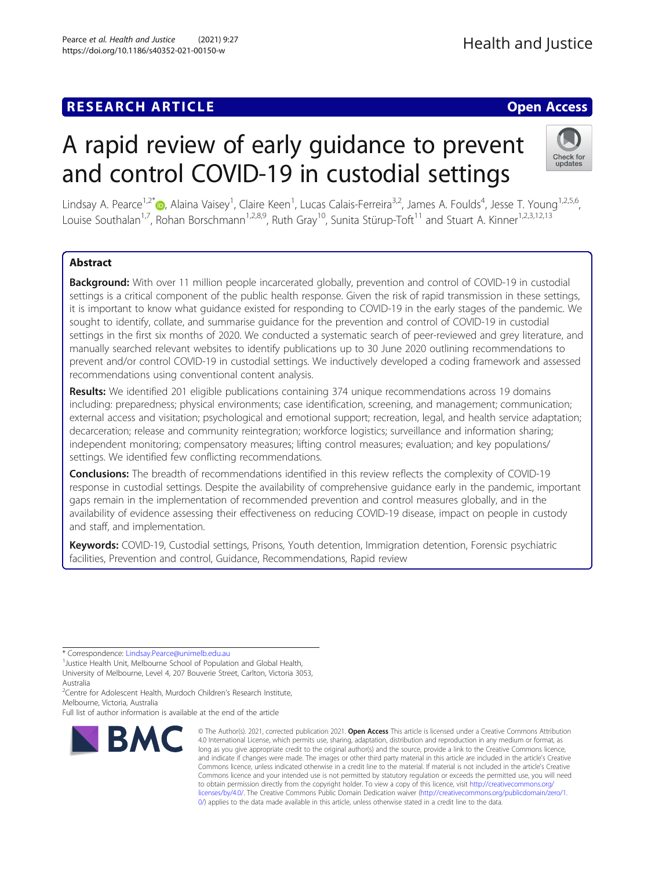# A rapid review of early guidance to prevent and control COVID-19 in custodial settings

Lindsay A. Pearce<sup>1,2[\\*](http://orcid.org/0000-0003-0293-7211)</sup>®, Alaina Vaisey<sup>1</sup>, Claire Keen<sup>1</sup>, Lucas Calais-Ferreira<sup>3,2</sup>, James A. Foulds<sup>4</sup>, Jesse T. Young<sup>1,2,5,6</sup>, Louise Southalan<sup>1,7</sup>, Rohan Borschmann<sup>1,2,8,9</sup>, Ruth Gray<sup>10</sup>, Sunita Stürup-Toft<sup>11</sup> and Stuart A. Kinner<sup>1,2,3,12,13</sup>

# Abstract

Background: With over 11 million people incarcerated globally, prevention and control of COVID-19 in custodial settings is a critical component of the public health response. Given the risk of rapid transmission in these settings, it is important to know what guidance existed for responding to COVID-19 in the early stages of the pandemic. We sought to identify, collate, and summarise guidance for the prevention and control of COVID-19 in custodial settings in the first six months of 2020. We conducted a systematic search of peer-reviewed and grey literature, and manually searched relevant websites to identify publications up to 30 June 2020 outlining recommendations to prevent and/or control COVID-19 in custodial settings. We inductively developed a coding framework and assessed recommendations using conventional content analysis.

Results: We identified 201 eligible publications containing 374 unique recommendations across 19 domains including: preparedness; physical environments; case identification, screening, and management; communication; external access and visitation; psychological and emotional support; recreation, legal, and health service adaptation; decarceration; release and community reintegration; workforce logistics; surveillance and information sharing; independent monitoring; compensatory measures; lifting control measures; evaluation; and key populations/ settings. We identified few conflicting recommendations.

Conclusions: The breadth of recommendations identified in this review reflects the complexity of COVID-19 response in custodial settings. Despite the availability of comprehensive guidance early in the pandemic, important gaps remain in the implementation of recommended prevention and control measures globally, and in the availability of evidence assessing their effectiveness on reducing COVID-19 disease, impact on people in custody and staff, and implementation.

Keywords: COVID-19, Custodial settings, Prisons, Youth detention, Immigration detention, Forensic psychiatric facilities, Prevention and control, Guidance, Recommendations, Rapid review

\* Correspondence: [Lindsay.Pearce@unimelb.edu.au](mailto:Lindsay.Pearce@unimelb.edu.au) <sup>1</sup>

**RMC** 

<sup>2</sup>Centre for Adolescent Health, Murdoch Children's Research Institute, Melbourne, Victoria, Australia

Full list of author information is available at the end of the article

© The Author(s). 2021, corrected publication 2021. Open Access This article is licensed under a Creative Commons Attribution 4.0 International License, which permits use, sharing, adaptation, distribution and reproduction in any medium or format, as long as you give appropriate credit to the original author(s) and the source, provide a link to the Creative Commons licence, and indicate if changes were made. The images or other third party material in this article are included in the article's Creative Commons licence, unless indicated otherwise in a credit line to the material. If material is not included in the article's Creative Commons licence and your intended use is not permitted by statutory regulation or exceeds the permitted use, you will need to obtain permission directly from the copyright holder. To view a copy of this licence, visit [http://creativecommons.org/](http://creativecommons.org/licenses/by/4.0/) [licenses/by/4.0/.](http://creativecommons.org/licenses/by/4.0/) The Creative Commons Public Domain Dedication waiver ([http://creativecommons.org/publicdomain/zero/1.](http://creativecommons.org/publicdomain/zero/1.0/) [0/\)](http://creativecommons.org/publicdomain/zero/1.0/) applies to the data made available in this article, unless otherwise stated in a credit line to the data.





<sup>&</sup>lt;sup>1</sup> Justice Health Unit, Melbourne School of Population and Global Health, University of Melbourne, Level 4, 207 Bouverie Street, Carlton, Victoria 3053, Australia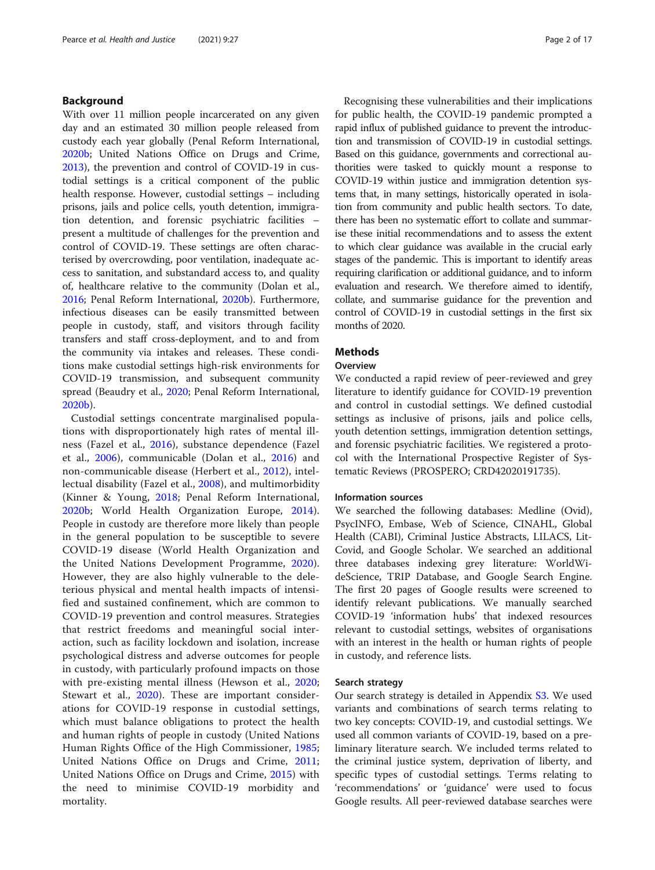# Background

With over 11 million people incarcerated on any given day and an estimated 30 million people released from custody each year globally (Penal Reform International, [2020b](#page-15-0); United Nations Office on Drugs and Crime, [2013](#page-16-0)), the prevention and control of COVID-19 in custodial settings is a critical component of the public health response. However, custodial settings – including prisons, jails and police cells, youth detention, immigration detention, and forensic psychiatric facilities – present a multitude of challenges for the prevention and control of COVID-19. These settings are often characterised by overcrowding, poor ventilation, inadequate access to sanitation, and substandard access to, and quality of, healthcare relative to the community (Dolan et al., [2016](#page-13-0); Penal Reform International, [2020b\)](#page-15-0). Furthermore, infectious diseases can be easily transmitted between people in custody, staff, and visitors through facility transfers and staff cross-deployment, and to and from the community via intakes and releases. These conditions make custodial settings high-risk environments for COVID-19 transmission, and subsequent community spread (Beaudry et al., [2020](#page-13-0); Penal Reform International, [2020b](#page-15-0)).

Custodial settings concentrate marginalised populations with disproportionately high rates of mental illness (Fazel et al., [2016\)](#page-13-0), substance dependence (Fazel et al., [2006](#page-13-0)), communicable (Dolan et al., [2016\)](#page-13-0) and non-communicable disease (Herbert et al., [2012](#page-14-0)), intellectual disability (Fazel et al., [2008\)](#page-14-0), and multimorbidity (Kinner & Young, [2018;](#page-14-0) Penal Reform International, [2020b](#page-15-0); World Health Organization Europe, [2014](#page-16-0)). People in custody are therefore more likely than people in the general population to be susceptible to severe COVID-19 disease (World Health Organization and the United Nations Development Programme, [2020](#page-16-0)). However, they are also highly vulnerable to the deleterious physical and mental health impacts of intensified and sustained confinement, which are common to COVID-19 prevention and control measures. Strategies that restrict freedoms and meaningful social interaction, such as facility lockdown and isolation, increase psychological distress and adverse outcomes for people in custody, with particularly profound impacts on those with pre-existing mental illness (Hewson et al., [2020](#page-14-0); Stewart et al., [2020](#page-15-0)). These are important considerations for COVID-19 response in custodial settings, which must balance obligations to protect the health and human rights of people in custody (United Nations Human Rights Office of the High Commissioner, [1985](#page-15-0); United Nations Office on Drugs and Crime, [2011](#page-16-0); United Nations Office on Drugs and Crime, [2015\)](#page-16-0) with the need to minimise COVID-19 morbidity and mortality.

Recognising these vulnerabilities and their implications for public health, the COVID-19 pandemic prompted a rapid influx of published guidance to prevent the introduction and transmission of COVID-19 in custodial settings. Based on this guidance, governments and correctional authorities were tasked to quickly mount a response to COVID-19 within justice and immigration detention systems that, in many settings, historically operated in isolation from community and public health sectors. To date, there has been no systematic effort to collate and summarise these initial recommendations and to assess the extent to which clear guidance was available in the crucial early stages of the pandemic. This is important to identify areas requiring clarification or additional guidance, and to inform evaluation and research. We therefore aimed to identify, collate, and summarise guidance for the prevention and control of COVID-19 in custodial settings in the first six months of 2020.

# **Methods**

# **Overview**

We conducted a rapid review of peer-reviewed and grey literature to identify guidance for COVID-19 prevention and control in custodial settings. We defined custodial settings as inclusive of prisons, jails and police cells, youth detention settings, immigration detention settings, and forensic psychiatric facilities. We registered a protocol with the International Prospective Register of Systematic Reviews (PROSPERO; CRD42020191735).

# Information sources

We searched the following databases: Medline (Ovid), PsycINFO, Embase, Web of Science, CINAHL, Global Health (CABI), Criminal Justice Abstracts, LILACS, Lit-Covid, and Google Scholar. We searched an additional three databases indexing grey literature: WorldWideScience, TRIP Database, and Google Search Engine. The first 20 pages of Google results were screened to identify relevant publications. We manually searched COVID-19 'information hubs' that indexed resources relevant to custodial settings, websites of organisations with an interest in the health or human rights of people in custody, and reference lists.

#### Search strategy

Our search strategy is detailed in Appendix [S3](#page-12-0). We used variants and combinations of search terms relating to two key concepts: COVID-19, and custodial settings. We used all common variants of COVID-19, based on a preliminary literature search. We included terms related to the criminal justice system, deprivation of liberty, and specific types of custodial settings. Terms relating to 'recommendations' or 'guidance' were used to focus Google results. All peer-reviewed database searches were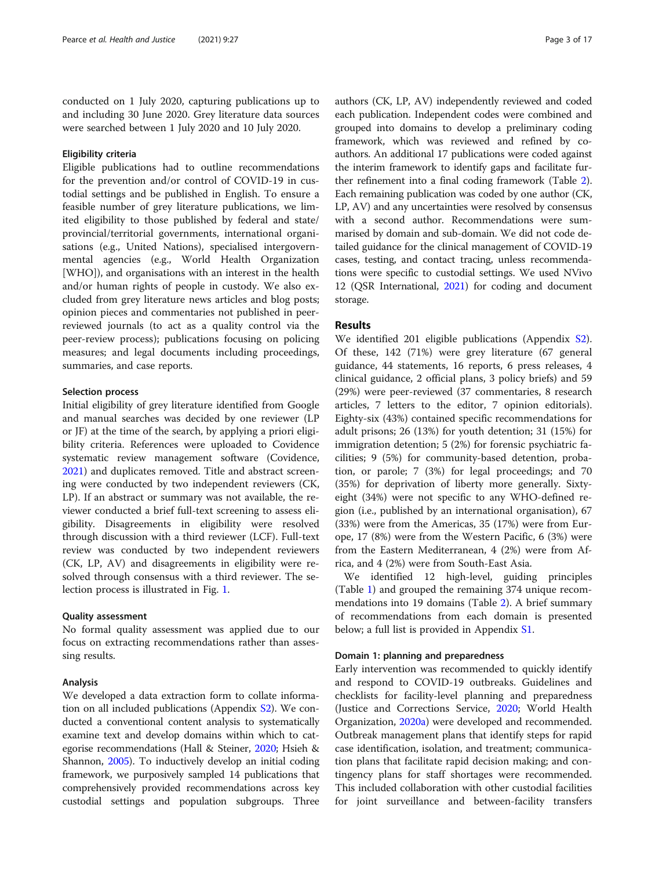conducted on 1 July 2020, capturing publications up to and including 30 June 2020. Grey literature data sources were searched between 1 July 2020 and 10 July 2020.

# Eligibility criteria

Eligible publications had to outline recommendations for the prevention and/or control of COVID-19 in custodial settings and be published in English. To ensure a feasible number of grey literature publications, we limited eligibility to those published by federal and state/ provincial/territorial governments, international organisations (e.g., United Nations), specialised intergovernmental agencies (e.g., World Health Organization [WHO]), and organisations with an interest in the health and/or human rights of people in custody. We also excluded from grey literature news articles and blog posts; opinion pieces and commentaries not published in peerreviewed journals (to act as a quality control via the peer-review process); publications focusing on policing measures; and legal documents including proceedings, summaries, and case reports.

# Selection process

Initial eligibility of grey literature identified from Google and manual searches was decided by one reviewer (LP or JF) at the time of the search, by applying a priori eligibility criteria. References were uploaded to Covidence systematic review management software (Covidence, [2021](#page-13-0)) and duplicates removed. Title and abstract screening were conducted by two independent reviewers (CK, LP). If an abstract or summary was not available, the reviewer conducted a brief full-text screening to assess eligibility. Disagreements in eligibility were resolved through discussion with a third reviewer (LCF). Full-text review was conducted by two independent reviewers (CK, LP, AV) and disagreements in eligibility were resolved through consensus with a third reviewer. The selection process is illustrated in Fig. [1.](#page-3-0)

# Quality assessment

No formal quality assessment was applied due to our focus on extracting recommendations rather than assessing results.

#### Analysis

We developed a data extraction form to collate information on all included publications (Appendix [S2\)](#page-12-0). We conducted a conventional content analysis to systematically examine text and develop domains within which to categorise recommendations (Hall & Steiner, [2020;](#page-14-0) Hsieh & Shannon, [2005](#page-14-0)). To inductively develop an initial coding framework, we purposively sampled 14 publications that comprehensively provided recommendations across key custodial settings and population subgroups. Three authors (CK, LP, AV) independently reviewed and coded each publication. Independent codes were combined and grouped into domains to develop a preliminary coding framework, which was reviewed and refined by coauthors. An additional 17 publications were coded against the interim framework to identify gaps and facilitate further refinement into a final coding framework (Table [2](#page-6-0)). Each remaining publication was coded by one author (CK, LP, AV) and any uncertainties were resolved by consensus with a second author. Recommendations were summarised by domain and sub-domain. We did not code detailed guidance for the clinical management of COVID-19 cases, testing, and contact tracing, unless recommendations were specific to custodial settings. We used NVivo 12 (QSR International, [2021](#page-15-0)) for coding and document storage.

# Results

We identified 201 eligible publications (Appendix [S2](#page-12-0)). Of these, 142 (71%) were grey literature (67 general guidance, 44 statements, 16 reports, 6 press releases, 4 clinical guidance, 2 official plans, 3 policy briefs) and 59 (29%) were peer-reviewed (37 commentaries, 8 research articles, 7 letters to the editor, 7 opinion editorials). Eighty-six (43%) contained specific recommendations for adult prisons; 26 (13%) for youth detention; 31 (15%) for immigration detention; 5 (2%) for forensic psychiatric facilities; 9 (5%) for community-based detention, probation, or parole; 7 (3%) for legal proceedings; and 70 (35%) for deprivation of liberty more generally. Sixtyeight (34%) were not specific to any WHO-defined region (i.e., published by an international organisation), 67 (33%) were from the Americas, 35 (17%) were from Europe, 17 (8%) were from the Western Pacific, 6 (3%) were from the Eastern Mediterranean, 4 (2%) were from Africa, and 4 (2%) were from South-East Asia.

We identified 12 high-level, guiding principles (Table [1\)](#page-4-0) and grouped the remaining 374 unique recommendations into 19 domains (Table [2](#page-6-0)). A brief summary of recommendations from each domain is presented below; a full list is provided in Appendix [S1](#page-12-0).

#### Domain 1: planning and preparedness

Early intervention was recommended to quickly identify and respond to COVID-19 outbreaks. Guidelines and checklists for facility-level planning and preparedness (Justice and Corrections Service, [2020](#page-14-0); World Health Organization, [2020a](#page-16-0)) were developed and recommended. Outbreak management plans that identify steps for rapid case identification, isolation, and treatment; communication plans that facilitate rapid decision making; and contingency plans for staff shortages were recommended. This included collaboration with other custodial facilities for joint surveillance and between-facility transfers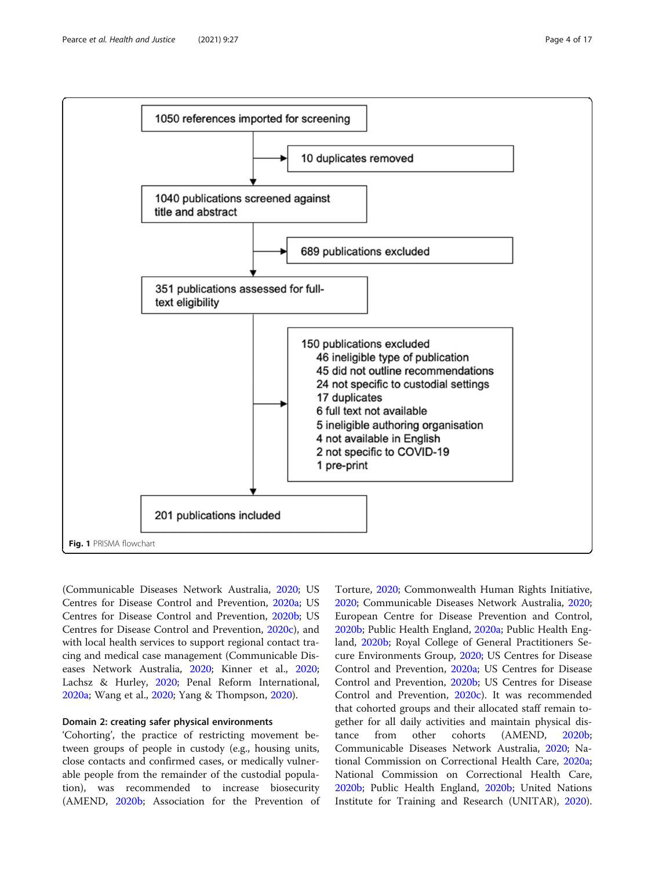<span id="page-3-0"></span>

(Communicable Diseases Network Australia, [2020](#page-13-0); US Centres for Disease Control and Prevention, [2020a](#page-16-0); US Centres for Disease Control and Prevention, [2020b](#page-16-0); US Centres for Disease Control and Prevention, [2020c\)](#page-16-0), and with local health services to support regional contact tracing and medical case management (Communicable Diseases Network Australia, [2020](#page-13-0); Kinner et al., [2020](#page-14-0); Lachsz & Hurley, [2020](#page-14-0); Penal Reform International, [2020a;](#page-15-0) Wang et al., [2020](#page-16-0); Yang & Thompson, [2020\)](#page-16-0).

# Domain 2: creating safer physical environments

'Cohorting', the practice of restricting movement between groups of people in custody (e.g., housing units, close contacts and confirmed cases, or medically vulnerable people from the remainder of the custodial population), was recommended to increase biosecurity (AMEND, [2020b;](#page-13-0) Association for the Prevention of

Torture, [2020](#page-13-0); Commonwealth Human Rights Initiative, [2020](#page-13-0); Communicable Diseases Network Australia, [2020](#page-13-0); European Centre for Disease Prevention and Control, [2020b](#page-13-0); Public Health England, [2020a;](#page-15-0) Public Health England, [2020b](#page-15-0); Royal College of General Practitioners Secure Environments Group, [2020;](#page-15-0) US Centres for Disease Control and Prevention, [2020a](#page-16-0); US Centres for Disease Control and Prevention, [2020b;](#page-16-0) US Centres for Disease Control and Prevention, [2020c](#page-16-0)). It was recommended that cohorted groups and their allocated staff remain together for all daily activities and maintain physical distance from other cohorts (AMEND, [2020b](#page-13-0); Communicable Diseases Network Australia, [2020;](#page-13-0) National Commission on Correctional Health Care, [2020a](#page-14-0); National Commission on Correctional Health Care, [2020b](#page-14-0); Public Health England, [2020b;](#page-15-0) United Nations Institute for Training and Research (UNITAR), [2020](#page-15-0)).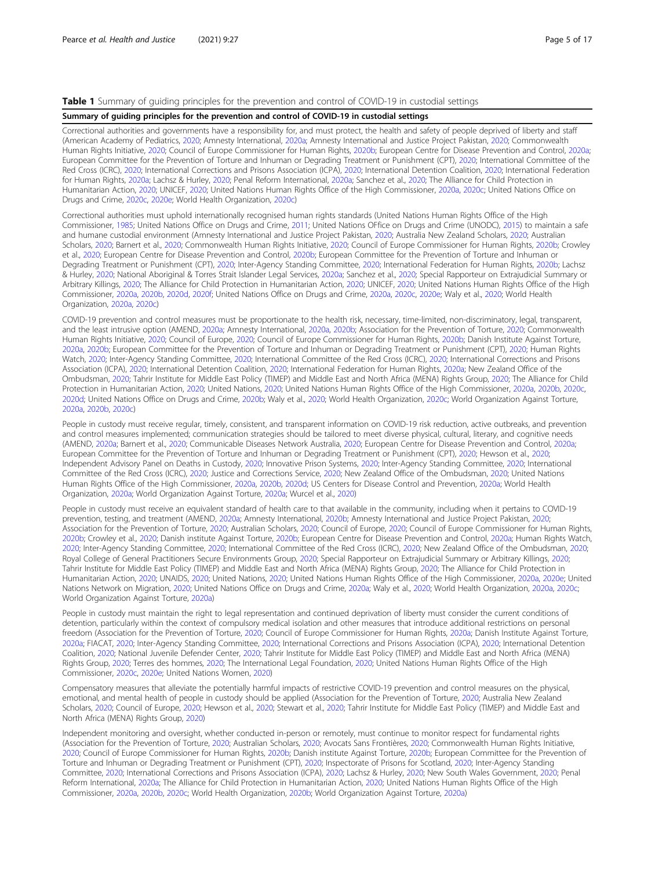# <span id="page-4-0"></span>Table 1 Summary of guiding principles for the prevention and control of COVID-19 in custodial settings

#### Summary of guiding principles for the prevention and control of COVID-19 in custodial settings

Correctional authorities and governments have a responsibility for, and must protect, the health and safety of people deprived of liberty and staff (American Academy of Pediatrics, [2020;](#page-13-0) Amnesty International, [2020a](#page-13-0); Amnesty International and Justice Project Pakistan, [2020;](#page-13-0) Commonwealth Human Rights Initiative, [2020](#page-13-0); Council of Europe Commissioner for Human Rights, [2020b](#page-13-0); European Centre for Disease Prevention and Control, [2020a;](#page-13-0) European Committee for the Prevention of Torture and Inhuman or Degrading Treatment or Punishment (CPT), [2020;](#page-13-0) International Committee of the Red Cross (ICRC), [2020](#page-14-0); International Corrections and Prisons Association (ICPA), [2020](#page-14-0); International Detention Coalition, [2020](#page-14-0); International Federation for Human Rights, [2020a;](#page-14-0) Lachsz & Hurley, [2020;](#page-14-0) Penal Reform International, [2020a](#page-15-0); Sanchez et al., [2020;](#page-15-0) The Alliance for Child Protection in Humanitarian Action, [2020;](#page-15-0) UNICEF, 2020; United Nations Human Rights Office of the High Commissioner, [2020a,](#page-15-0) [2020c](#page-15-0); United Nations Office on Drugs and Crime, [2020c,](#page-16-0) [2020e;](#page-16-0) World Health Organization, [2020c](#page-16-0))

Correctional authorities must uphold internationally recognised human rights standards (United Nations Human Rights Office of the High Commissioner, [1985](#page-15-0); United Nations Office on Drugs and Crime, [2011](#page-16-0); United Nations OFfice on Drugs and Crime (UNODC), [2015\)](#page-16-0) to maintain a safe and humane custodial environment (Amnesty International and Justice Project Pakistan, [2020](#page-13-0); Australia New Zealand Scholars, [2020](#page-13-0); Australian Scholars, [2020;](#page-13-0) Barnert et al., [2020;](#page-13-0) Commonwealth Human Rights Initiative, [2020;](#page-13-0) Council of Europe Commissioner for Human Rights, [2020b](#page-13-0); Crowley et al., [2020;](#page-13-0) European Centre for Disease Prevention and Control, [2020b](#page-13-0); European Committee for the Prevention of Torture and Inhuman or Degrading Treatment or Punishment (CPT), [2020;](#page-13-0) Inter-Agency Standing Committee, [2020](#page-14-0); International Federation for Human Rights, [2020b;](#page-14-0) Lachsz & Hurley, [2020;](#page-14-0) National Aboriginal & Torres Strait Islander Legal Services, [2020a;](#page-14-0) Sanchez et al., [2020](#page-15-0); Special Rapporteur on Extrajudicial Summary or Arbitrary Killings, [2020](#page-15-0); The Alliance for Child Protection in Humanitarian Action, [2020](#page-15-0); UNICEF, [2020;](#page-15-0) United Nations Human Rights Office of the High Commissioner, [2020a,](#page-15-0) [2020b](#page-15-0), [2020d](#page-15-0), [2020f](#page-15-0); United Nations Office on Drugs and Crime, [2020a](#page-16-0), [2020c,](#page-16-0) [2020e;](#page-16-0) Waly et al., [2020](#page-16-0); World Health Organization, [2020a,](#page-16-0) [2020c](#page-16-0))

COVID-19 prevention and control measures must be proportionate to the health risk, necessary, time-limited, non-discriminatory, legal, transparent, and the least intrusive option (AMEND, [2020a;](#page-13-0) Amnesty International, [2020a,](#page-13-0) [2020b;](#page-13-0) Association for the Prevention of Torture, [2020](#page-13-0); Commonwealth Human Rights Initiative, [2020](#page-13-0); Council of Europe, [2020](#page-13-0); Council of Europe Commissioner for Human Rights, [2020b;](#page-13-0) Danish Institute Against Torture, [2020a,](#page-13-0) [2020b;](#page-13-0) European Committee for the Prevention of Torture and Inhuman or Degrading Treatment or Punishment (CPT), [2020;](#page-13-0) Human Rights Watch, [2020;](#page-14-0) Inter-Agency Standing Committee, [2020](#page-14-0); International Committee of the Red Cross (ICRC), [2020;](#page-14-0) International Corrections and Prisons Association (ICPA), [2020](#page-14-0); International Detention Coalition, [2020;](#page-14-0) International Federation for Human Rights, [2020a](#page-14-0); New Zealand Office of the Ombudsman, [2020](#page-15-0); Tahrir Institute for Middle East Policy (TIMEP) and Middle East and North Africa (MENA) Rights Group, [2020;](#page-15-0) The Alliance for Child Protection in Humanitarian Action, [2020](#page-15-0); United Nations, [2020;](#page-15-0) United Nations Human Rights Office of the High Commissioner, [2020a,](#page-15-0) [2020b,](#page-15-0) [2020c](#page-15-0), [2020d](#page-15-0); United Nations Office on Drugs and Crime, [2020b;](#page-16-0) Waly et al., [2020](#page-16-0); World Health Organization, [2020c;](#page-16-0) World Organization Against Torture, [2020a,](#page-16-0) [2020b,](#page-16-0) [2020c](#page-16-0))

People in custody must receive regular, timely, consistent, and transparent information on COVID-19 risk reduction, active outbreaks, and prevention and control measures implemented; communication strategies should be tailored to meet diverse physical, cultural, literary, and cognitive needs (AMEND, [2020a](#page-13-0); Barnert et al., [2020](#page-13-0); Communicable Diseases Network Australia, [2020](#page-13-0); European Centre for Disease Prevention and Control, [2020a;](#page-13-0) European Committee for the Prevention of Torture and Inhuman or Degrading Treatment or Punishment (CPT), [2020;](#page-13-0) Hewson et al., [2020](#page-14-0); Independent Advisory Panel on Deaths in Custody, [2020](#page-14-0); Innovative Prison Systems, [2020;](#page-14-0) Inter-Agency Standing Committee, [2020](#page-14-0); International Committee of the Red Cross (ICRC), [2020](#page-14-0); Justice and Corrections Service, [2020;](#page-14-0) New Zealand Office of the Ombudsman, [2020;](#page-15-0) United Nations Human Rights Office of the High Commissioner, [2020a](#page-15-0), [2020b,](#page-15-0) [2020d](#page-15-0); US Centers for Disease Control and Prevention, [2020a](#page-16-0); World Health Organization, [2020a;](#page-16-0) World Organization Against Torture, [2020a;](#page-16-0) Wurcel et al., [2020](#page-16-0))

People in custody must receive an equivalent standard of health care to that available in the community, including when it pertains to COVID-19 prevention, testing, and treatment (AMEND, [2020a](#page-13-0); Amnesty International, [2020b;](#page-13-0) Amnesty International and Justice Project Pakistan, [2020](#page-13-0); Association for the Prevention of Torture, [2020](#page-13-0); Australian Scholars, [2020;](#page-13-0) Council of Europe, [2020](#page-13-0); Council of Europe Commissioner for Human Rights, [2020b](#page-13-0); Crowley et al., [2020](#page-13-0); Danish institute Against Torture, [2020b;](#page-13-0) European Centre for Disease Prevention and Control, [2020a](#page-13-0); Human Rights Watch, [2020](#page-14-0); Inter-Agency Standing Committee, [2020;](#page-14-0) International Committee of the Red Cross (ICRC), [2020](#page-14-0); New Zealand Office of the Ombudsman, [2020;](#page-15-0) Royal College of General Practitioners Secure Environments Group, [2020](#page-15-0); Special Rapporteur on Extrajudicial Summary or Arbitrary Killings, [2020](#page-15-0); Tahrir Institute for Middle East Policy (TIMEP) and Middle East and North Africa (MENA) Rights Group, [2020;](#page-15-0) The Alliance for Child Protection in Humanitarian Action, [2020;](#page-15-0) UNAIDS, [2020;](#page-15-0) United Nations, [2020](#page-15-0); United Nations Human Rights Office of the High Commissioner, [2020a](#page-15-0), [2020e;](#page-15-0) United Nations Network on Migration, [2020;](#page-16-0) United Nations Office on Drugs and Crime, [2020a;](#page-16-0) Waly et al., [2020](#page-16-0); World Health Organization, [2020a,](#page-16-0) [2020c](#page-16-0); World Organization Against Torture, [2020a\)](#page-16-0)

People in custody must maintain the right to legal representation and continued deprivation of liberty must consider the current conditions of detention, particularly within the context of compulsory medical isolation and other measures that introduce additional restrictions on personal freedom (Association for the Prevention of Torture, [2020;](#page-13-0) Council of Europe Commissioner for Human Rights, [2020a](#page-13-0); Danish Institute Against Torture, [2020a;](#page-13-0) FIACAT, [2020](#page-14-0); Inter-Agency Standing Committee, [2020;](#page-14-0) International Corrections and Prisons Association (ICPA), [2020;](#page-14-0) International Detention Coalition, [2020;](#page-14-0) National Juvenile Defender Center, [2020;](#page-14-0) Tahrir Institute for Middle East Policy (TIMEP) and Middle East and North Africa (MENA) Rights Group, [2020;](#page-15-0) Terres des hommes, [2020](#page-15-0); The International Legal Foundation, [2020;](#page-15-0) United Nations Human Rights Office of the High Commissioner, [2020c,](#page-15-0) [2020e](#page-15-0); United Nations Women, [2020\)](#page-16-0)

Compensatory measures that alleviate the potentially harmful impacts of restrictive COVID-19 prevention and control measures on the physical, emotional, and mental health of people in custody should be applied (Association for the Prevention of Torture, [2020](#page-13-0); Australia New Zealand Scholars, [2020;](#page-13-0) Council of Europe, [2020](#page-13-0); Hewson et al., [2020](#page-14-0); Stewart et al., [2020;](#page-15-0) Tahrir Institute for Middle East Policy (TIMEP) and Middle East and North Africa (MENA) Rights Group, [2020](#page-15-0))

Independent monitoring and oversight, whether conducted in-person or remotely, must continue to monitor respect for fundamental rights (Association for the Prevention of Torture, [2020](#page-13-0); Australian Scholars, [2020;](#page-13-0) Avocats Sans Frontières, [2020;](#page-13-0) Commonwealth Human Rights Initiative, [2020;](#page-13-0) Council of Europe Commissioner for Human Rights, [2020b](#page-13-0); Danish institute Against Torture, [2020b;](#page-13-0) European Committee for the Prevention of Torture and Inhuman or Degrading Treatment or Punishment (CPT), [2020;](#page-13-0) Inspectorate of Prisons for Scotland, [2020;](#page-14-0) Inter-Agency Standing Committee, [2020;](#page-14-0) International Corrections and Prisons Association (ICPA), [2020;](#page-14-0) Lachsz & Hurley, [2020](#page-14-0); New South Wales Government, [2020;](#page-15-0) Penal Reform International, [2020a;](#page-15-0) The Alliance for Child Protection in Humanitarian Action, [2020;](#page-15-0) United Nations Human Rights Office of the High Commissioner, [2020a,](#page-15-0) [2020b](#page-15-0), [2020c;](#page-15-0) World Health Organization, [2020b;](#page-16-0) World Organization Against Torture, [2020a\)](#page-16-0)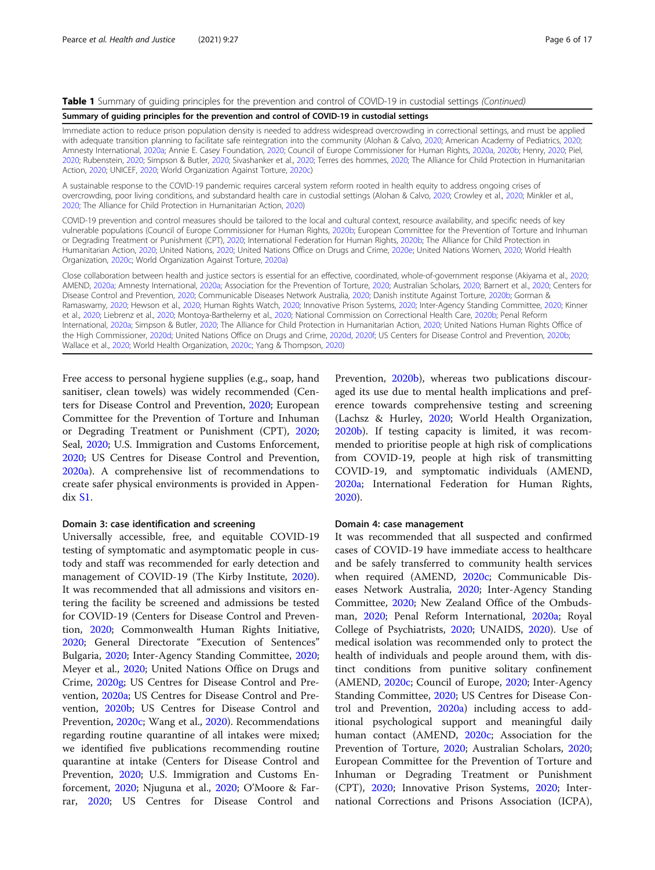#### Table 1 Summary of quiding principles for the prevention and control of COVID-19 in custodial settings (Continued)

#### Summary of guiding principles for the prevention and control of COVID-19 in custodial settings

Immediate action to reduce prison population density is needed to address widespread overcrowding in correctional settings, and must be applied with adequate transition planning to facilitate safe reintegration into the community (Alohan & Calvo, [2020](#page-13-0); American Academy of Pediatrics, [2020;](#page-13-0) Amnesty International, [2020a;](#page-13-0) Annie E. Casey Foundation, [2020](#page-13-0); Council of Europe Commissioner for Human Rights, [2020a,](#page-13-0) [2020b](#page-13-0); Henry, [2020;](#page-14-0) Piel, [2020](#page-15-0); Rubenstein, [2020](#page-15-0); Simpson & Butler, [2020](#page-15-0); Sivashanker et al., [2020](#page-15-0); Terres des hommes, [2020;](#page-15-0) The Alliance for Child Protection in Humanitarian Action, [2020](#page-15-0); UNICEF, [2020;](#page-15-0) World Organization Against Torture, [2020c\)](#page-16-0)

A sustainable response to the COVID-19 pandemic requires carceral system reform rooted in health equity to address ongoing crises of overcrowding, poor living conditions, and substandard health care in custodial settings (Alohan & Calvo, [2020](#page-13-0); Crowley et al., [2020](#page-13-0); Minkler et al., [2020](#page-14-0); The Alliance for Child Protection in Humanitarian Action, [2020](#page-15-0))

COVID-19 prevention and control measures should be tailored to the local and cultural context, resource availability, and specific needs of key vulnerable populations (Council of Europe Commissioner for Human Rights, [2020b;](#page-13-0) European Committee for the Prevention of Torture and Inhuman or Degrading Treatment or Punishment (CPT), [2020;](#page-13-0) International Federation for Human Rights, [2020b](#page-14-0); The Alliance for Child Protection in Humanitarian Action, [2020;](#page-15-0) United Nations, [2020](#page-15-0); United Nations Office on Drugs and Crime, [2020e](#page-16-0); United Nations Women, [2020;](#page-16-0) World Health Organization, [2020c;](#page-16-0) World Organization Against Torture, [2020a\)](#page-16-0)

Close collaboration between health and justice sectors is essential for an effective, coordinated, whole-of-government response (Akiyama et al., [2020;](#page-13-0) AMEND, [2020a;](#page-13-0) Amnesty International, [2020a;](#page-13-0) Association for the Prevention of Torture, [2020](#page-13-0); Australian Scholars, [2020](#page-13-0); Barnert et al., [2020](#page-13-0); Centers for Disease Control and Prevention, [2020;](#page-13-0) Communicable Diseases Network Australia, [2020;](#page-13-0) Danish institute Against Torture, [2020b](#page-13-0); Gorman & Ramaswamy, [2020](#page-14-0); Hewson et al., [2020;](#page-14-0) Human Rights Watch, [2020](#page-14-0); Innovative Prison Systems, [2020;](#page-14-0) Inter-Agency Standing Committee, [2020;](#page-14-0) Kinner et al., [2020;](#page-14-0) Liebrenz et al., [2020](#page-14-0); Montoya-Barthelemy et al., [2020;](#page-14-0) National Commission on Correctional Health Care, [2020b;](#page-14-0) Penal Reform International, [2020a](#page-15-0); Simpson & Butler, [2020](#page-15-0); The Alliance for Child Protection in Humanitarian Action, [2020](#page-15-0); United Nations Human Rights Office of the High Commissioner, [2020d;](#page-15-0) United Nations Office on Drugs and Crime, [2020d,](#page-16-0) [2020f;](#page-16-0) US Centers for Disease Control and Prevention, [2020b](#page-16-0); Wallace et al., [2020;](#page-16-0) World Health Organization, [2020c;](#page-16-0) Yang & Thompson, [2020](#page-16-0))

Free access to personal hygiene supplies (e.g., soap, hand sanitiser, clean towels) was widely recommended (Centers for Disease Control and Prevention, [2020](#page-13-0); European Committee for the Prevention of Torture and Inhuman or Degrading Treatment or Punishment (CPT), [2020](#page-13-0); Seal, [2020](#page-15-0); U.S. Immigration and Customs Enforcement, [2020](#page-15-0); US Centres for Disease Control and Prevention, [2020a\)](#page-16-0). A comprehensive list of recommendations to create safer physical environments is provided in Appendix [S1](#page-12-0).

#### Domain 3: case identification and screening

Universally accessible, free, and equitable COVID-19 testing of symptomatic and asymptomatic people in custody and staff was recommended for early detection and management of COVID-19 (The Kirby Institute, [2020](#page-15-0)). It was recommended that all admissions and visitors entering the facility be screened and admissions be tested for COVID-19 (Centers for Disease Control and Prevention, [2020](#page-13-0); Commonwealth Human Rights Initiative, [2020](#page-13-0); General Directorate "Execution of Sentences" Bulgaria, [2020](#page-14-0); Inter-Agency Standing Committee, [2020](#page-14-0); Meyer et al., [2020;](#page-14-0) United Nations Office on Drugs and Crime, [2020g](#page-16-0); US Centres for Disease Control and Prevention, [2020a;](#page-16-0) US Centres for Disease Control and Prevention, [2020b](#page-16-0); US Centres for Disease Control and Prevention, [2020c;](#page-16-0) Wang et al., [2020\)](#page-16-0). Recommendations regarding routine quarantine of all intakes were mixed; we identified five publications recommending routine quarantine at intake (Centers for Disease Control and Prevention, [2020](#page-13-0); U.S. Immigration and Customs Enforcement, [2020](#page-15-0); Njuguna et al., [2020;](#page-15-0) O'Moore & Farrar, [2020;](#page-15-0) US Centres for Disease Control and Prevention, [2020b](#page-16-0)), whereas two publications discouraged its use due to mental health implications and preference towards comprehensive testing and screening (Lachsz & Hurley, [2020;](#page-14-0) World Health Organization, [2020b](#page-16-0)). If testing capacity is limited, it was recommended to prioritise people at high risk of complications from COVID-19, people at high risk of transmitting COVID-19, and symptomatic individuals (AMEND, [2020a;](#page-13-0) International Federation for Human Rights, [2020](#page-14-0)).

#### Domain 4: case management

It was recommended that all suspected and confirmed cases of COVID-19 have immediate access to healthcare and be safely transferred to community health services when required (AMEND, [2020c;](#page-13-0) Communicable Diseases Network Australia, [2020;](#page-13-0) Inter-Agency Standing Committee, [2020](#page-14-0); New Zealand Office of the Ombudsman, [2020](#page-15-0); Penal Reform International, [2020a](#page-15-0); Royal College of Psychiatrists, [2020;](#page-15-0) UNAIDS, [2020](#page-15-0)). Use of medical isolation was recommended only to protect the health of individuals and people around them, with distinct conditions from punitive solitary confinement (AMEND, [2020c](#page-13-0); Council of Europe, [2020](#page-13-0); Inter-Agency Standing Committee, [2020](#page-14-0); US Centres for Disease Control and Prevention, [2020a](#page-16-0)) including access to additional psychological support and meaningful daily human contact (AMEND, [2020c;](#page-13-0) Association for the Prevention of Torture, [2020](#page-13-0); Australian Scholars, [2020](#page-13-0); European Committee for the Prevention of Torture and Inhuman or Degrading Treatment or Punishment (CPT), [2020;](#page-13-0) Innovative Prison Systems, [2020;](#page-14-0) International Corrections and Prisons Association (ICPA),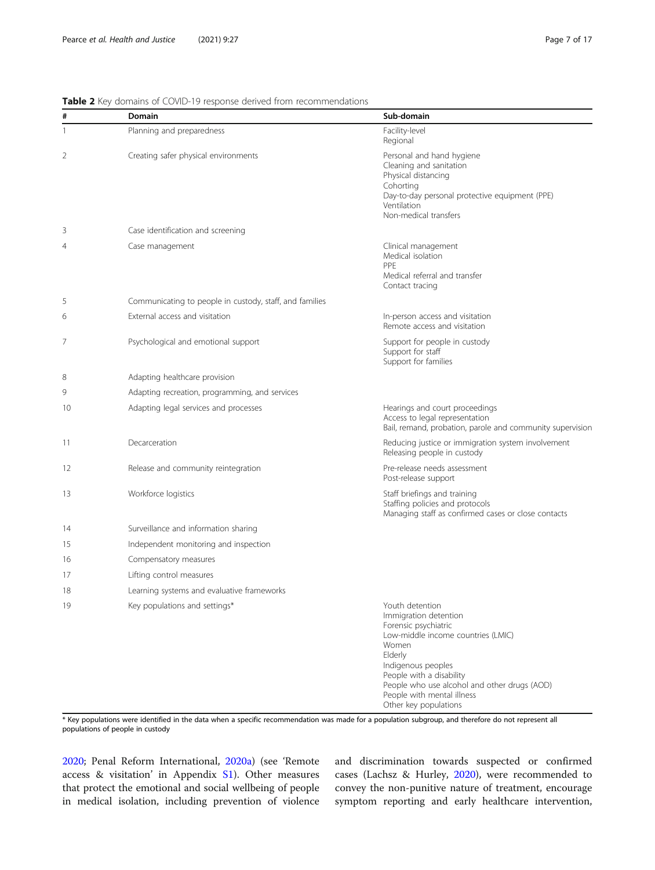<span id="page-6-0"></span>

| #  | <b>Domain</b>                                           | Sub-domain                                                                                                                                                                                                                                                                          |
|----|---------------------------------------------------------|-------------------------------------------------------------------------------------------------------------------------------------------------------------------------------------------------------------------------------------------------------------------------------------|
| 1  | Planning and preparedness                               | Facility-level<br>Regional                                                                                                                                                                                                                                                          |
| 2  | Creating safer physical environments                    | Personal and hand hygiene<br>Cleaning and sanitation<br>Physical distancing<br>Cohorting<br>Day-to-day personal protective equipment (PPE)<br>Ventilation<br>Non-medical transfers                                                                                                  |
| 3  | Case identification and screening                       |                                                                                                                                                                                                                                                                                     |
| 4  | Case management                                         | Clinical management<br>Medical isolation<br>PPE<br>Medical referral and transfer<br>Contact tracing                                                                                                                                                                                 |
| 5  | Communicating to people in custody, staff, and families |                                                                                                                                                                                                                                                                                     |
| 6  | External access and visitation                          | In-person access and visitation<br>Remote access and visitation                                                                                                                                                                                                                     |
| 7  | Psychological and emotional support                     | Support for people in custody<br>Support for staff<br>Support for families                                                                                                                                                                                                          |
| 8  | Adapting healthcare provision                           |                                                                                                                                                                                                                                                                                     |
| 9  | Adapting recreation, programming, and services          |                                                                                                                                                                                                                                                                                     |
| 10 | Adapting legal services and processes                   | Hearings and court proceedings<br>Access to legal representation<br>Bail, remand, probation, parole and community supervision                                                                                                                                                       |
| 11 | Decarceration                                           | Reducing justice or immigration system involvement<br>Releasing people in custody                                                                                                                                                                                                   |
| 12 | Release and community reintegration                     | Pre-release needs assessment<br>Post-release support                                                                                                                                                                                                                                |
| 13 | Workforce logistics                                     | Staff briefings and training<br>Staffing policies and protocols<br>Managing staff as confirmed cases or close contacts                                                                                                                                                              |
| 14 | Surveillance and information sharing                    |                                                                                                                                                                                                                                                                                     |
| 15 | Independent monitoring and inspection                   |                                                                                                                                                                                                                                                                                     |
| 16 | Compensatory measures                                   |                                                                                                                                                                                                                                                                                     |
| 17 | Lifting control measures                                |                                                                                                                                                                                                                                                                                     |
| 18 | Learning systems and evaluative frameworks              |                                                                                                                                                                                                                                                                                     |
| 19 | Key populations and settings*                           | Youth detention<br>Immigration detention<br>Forensic psychiatric<br>Low-middle income countries (LMIC)<br>Women<br>Elderly<br>Indigenous peoples<br>People with a disability<br>People who use alcohol and other drugs (AOD)<br>People with mental illness<br>Other key populations |

\* Key populations were identified in the data when a specific recommendation was made for a population subgroup, and therefore do not represent all populations of people in custody

[2020](#page-14-0); Penal Reform International, [2020a\)](#page-15-0) (see 'Remote access & visitation' in Appendix [S1](#page-12-0)). Other measures that protect the emotional and social wellbeing of people in medical isolation, including prevention of violence

and discrimination towards suspected or confirmed cases (Lachsz & Hurley, [2020\)](#page-14-0), were recommended to convey the non-punitive nature of treatment, encourage symptom reporting and early healthcare intervention,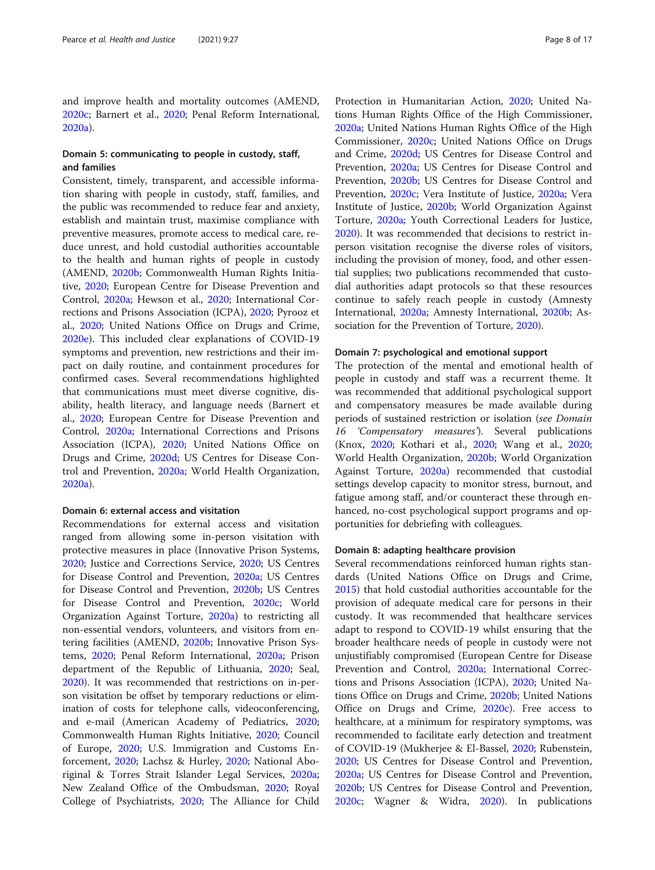and improve health and mortality outcomes (AMEND, [2020c;](#page-13-0) Barnert et al., [2020](#page-13-0); Penal Reform International, [2020a\)](#page-15-0).

# Domain 5: communicating to people in custody, staff, and families

Consistent, timely, transparent, and accessible information sharing with people in custody, staff, families, and the public was recommended to reduce fear and anxiety, establish and maintain trust, maximise compliance with preventive measures, promote access to medical care, reduce unrest, and hold custodial authorities accountable to the health and human rights of people in custody (AMEND, [2020b;](#page-13-0) Commonwealth Human Rights Initiative, [2020](#page-13-0); European Centre for Disease Prevention and Control, [2020a;](#page-13-0) Hewson et al., [2020](#page-14-0); International Corrections and Prisons Association (ICPA), [2020;](#page-14-0) Pyrooz et al., [2020](#page-15-0); United Nations Office on Drugs and Crime, [2020e\)](#page-16-0). This included clear explanations of COVID-19 symptoms and prevention, new restrictions and their impact on daily routine, and containment procedures for confirmed cases. Several recommendations highlighted that communications must meet diverse cognitive, disability, health literacy, and language needs (Barnert et al., [2020](#page-13-0); European Centre for Disease Prevention and Control, [2020a](#page-13-0); International Corrections and Prisons Association (ICPA), [2020](#page-14-0); United Nations Office on Drugs and Crime, [2020d](#page-16-0); US Centres for Disease Control and Prevention, [2020a;](#page-16-0) World Health Organization, [2020a\)](#page-16-0).

# Domain 6: external access and visitation

Recommendations for external access and visitation ranged from allowing some in-person visitation with protective measures in place (Innovative Prison Systems, [2020](#page-14-0); Justice and Corrections Service, [2020](#page-14-0); US Centres for Disease Control and Prevention, [2020a;](#page-16-0) US Centres for Disease Control and Prevention, [2020b;](#page-16-0) US Centres for Disease Control and Prevention, [2020c](#page-16-0); World Organization Against Torture, [2020a\)](#page-16-0) to restricting all non-essential vendors, volunteers, and visitors from entering facilities (AMEND, [2020b](#page-13-0); Innovative Prison Systems, [2020](#page-14-0); Penal Reform International, [2020a](#page-15-0); Prison department of the Republic of Lithuania, [2020](#page-15-0); Seal, [2020](#page-15-0)). It was recommended that restrictions on in-person visitation be offset by temporary reductions or elimination of costs for telephone calls, videoconferencing, and e-mail (American Academy of Pediatrics, [2020](#page-13-0); Commonwealth Human Rights Initiative, [2020](#page-13-0); Council of Europe, [2020;](#page-13-0) U.S. Immigration and Customs Enforcement, [2020;](#page-15-0) Lachsz & Hurley, [2020](#page-14-0); National Aboriginal & Torres Strait Islander Legal Services, [2020a](#page-14-0); New Zealand Office of the Ombudsman, [2020;](#page-15-0) Royal College of Psychiatrists, [2020](#page-15-0); The Alliance for Child

Protection in Humanitarian Action, [2020;](#page-15-0) United Nations Human Rights Office of the High Commissioner, [2020a;](#page-15-0) United Nations Human Rights Office of the High Commissioner, [2020c;](#page-15-0) United Nations Office on Drugs and Crime, [2020d](#page-15-0); US Centres for Disease Control and Prevention, [2020a](#page-16-0); US Centres for Disease Control and Prevention, [2020b;](#page-16-0) US Centres for Disease Control and Prevention, [2020c;](#page-16-0) Vera Institute of Justice, [2020a;](#page-16-0) Vera Institute of Justice, [2020b](#page-16-0); World Organization Against Torture, [2020a](#page-16-0); Youth Correctional Leaders for Justice, [2020](#page-16-0)). It was recommended that decisions to restrict inperson visitation recognise the diverse roles of visitors, including the provision of money, food, and other essential supplies; two publications recommended that custodial authorities adapt protocols so that these resources continue to safely reach people in custody (Amnesty International, [2020a;](#page-13-0) Amnesty International, [2020b](#page-13-0); Association for the Prevention of Torture, [2020](#page-13-0)).

#### Domain 7: psychological and emotional support

The protection of the mental and emotional health of people in custody and staff was a recurrent theme. It was recommended that additional psychological support and compensatory measures be made available during periods of sustained restriction or isolation (see Domain 16 'Compensatory measures'). Several publications (Knox, [2020;](#page-14-0) Kothari et al., [2020;](#page-14-0) Wang et al., [2020](#page-16-0); World Health Organization, [2020b;](#page-16-0) World Organization Against Torture, [2020a\)](#page-16-0) recommended that custodial settings develop capacity to monitor stress, burnout, and fatigue among staff, and/or counteract these through enhanced, no-cost psychological support programs and opportunities for debriefing with colleagues.

#### Domain 8: adapting healthcare provision

Several recommendations reinforced human rights standards (United Nations Office on Drugs and Crime, [2015](#page-16-0)) that hold custodial authorities accountable for the provision of adequate medical care for persons in their custody. It was recommended that healthcare services adapt to respond to COVID-19 whilst ensuring that the broader healthcare needs of people in custody were not unjustifiably compromised (European Centre for Disease Prevention and Control, [2020a;](#page-13-0) International Corrections and Prisons Association (ICPA), [2020;](#page-14-0) United Nations Office on Drugs and Crime, [2020b](#page-16-0); United Nations Office on Drugs and Crime, [2020c](#page-16-0)). Free access to healthcare, at a minimum for respiratory symptoms, was recommended to facilitate early detection and treatment of COVID-19 (Mukherjee & El-Bassel, [2020;](#page-14-0) Rubenstein, [2020](#page-15-0); US Centres for Disease Control and Prevention, [2020a;](#page-16-0) US Centres for Disease Control and Prevention, [2020b](#page-16-0); US Centres for Disease Control and Prevention, [2020c;](#page-16-0) Wagner & Widra, [2020](#page-16-0)). In publications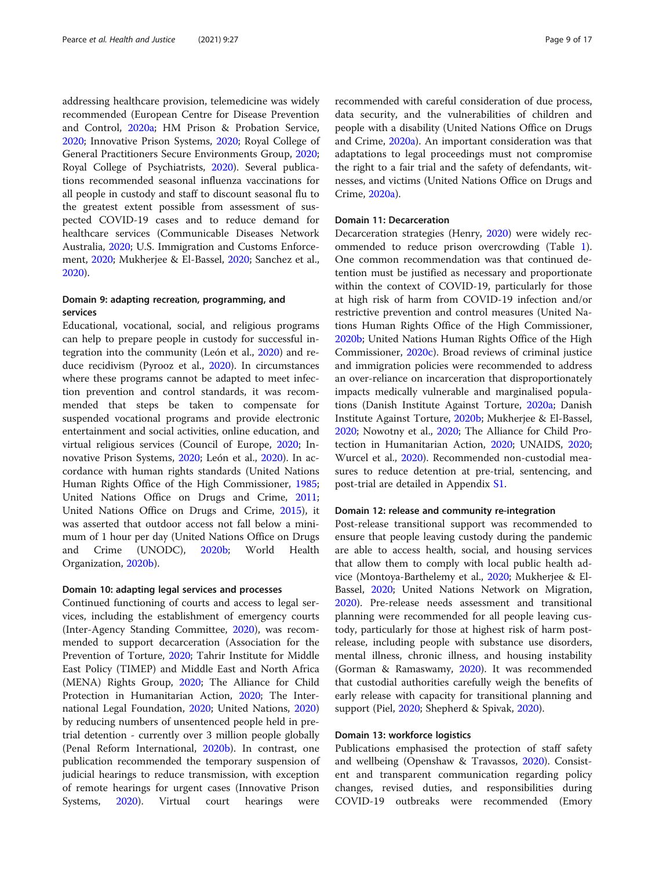addressing healthcare provision, telemedicine was widely recommended (European Centre for Disease Prevention and Control, [2020a](#page-13-0); HM Prison & Probation Service, [2020](#page-14-0); Innovative Prison Systems, [2020;](#page-14-0) Royal College of General Practitioners Secure Environments Group, [2020](#page-15-0); Royal College of Psychiatrists, [2020](#page-15-0)). Several publications recommended seasonal influenza vaccinations for all people in custody and staff to discount seasonal flu to the greatest extent possible from assessment of suspected COVID-19 cases and to reduce demand for healthcare services (Communicable Diseases Network Australia, [2020;](#page-13-0) U.S. Immigration and Customs Enforcement, [2020;](#page-15-0) Mukherjee & El-Bassel, [2020;](#page-14-0) Sanchez et al., [2020](#page-15-0)).

# Domain 9: adapting recreation, programming, and services

Educational, vocational, social, and religious programs can help to prepare people in custody for successful integration into the community (León et al., [2020](#page-14-0)) and reduce recidivism (Pyrooz et al., [2020\)](#page-15-0). In circumstances where these programs cannot be adapted to meet infection prevention and control standards, it was recommended that steps be taken to compensate for suspended vocational programs and provide electronic entertainment and social activities, online education, and virtual religious services (Council of Europe, [2020](#page-13-0); Innovative Prison Systems, [2020;](#page-14-0) León et al., [2020](#page-14-0)). In accordance with human rights standards (United Nations Human Rights Office of the High Commissioner, [1985](#page-15-0); United Nations Office on Drugs and Crime, [2011](#page-16-0); United Nations Office on Drugs and Crime, [2015](#page-16-0)), it was asserted that outdoor access not fall below a minimum of 1 hour per day (United Nations Office on Drugs and Crime (UNODC), [2020b](#page-16-0); World Health Organization, [2020b\)](#page-16-0).

### Domain 10: adapting legal services and processes

Continued functioning of courts and access to legal services, including the establishment of emergency courts (Inter-Agency Standing Committee, [2020](#page-14-0)), was recommended to support decarceration (Association for the Prevention of Torture, [2020](#page-13-0); Tahrir Institute for Middle East Policy (TIMEP) and Middle East and North Africa (MENA) Rights Group, [2020;](#page-15-0) The Alliance for Child Protection in Humanitarian Action, [2020;](#page-15-0) The International Legal Foundation, [2020;](#page-15-0) United Nations, [2020](#page-15-0)) by reducing numbers of unsentenced people held in pretrial detention - currently over 3 million people globally (Penal Reform International, [2020b](#page-15-0)). In contrast, one publication recommended the temporary suspension of judicial hearings to reduce transmission, with exception of remote hearings for urgent cases (Innovative Prison Systems, [2020](#page-14-0)). Virtual court hearings were recommended with careful consideration of due process, data security, and the vulnerabilities of children and people with a disability (United Nations Office on Drugs and Crime, [2020a\)](#page-16-0). An important consideration was that adaptations to legal proceedings must not compromise the right to a fair trial and the safety of defendants, witnesses, and victims (United Nations Office on Drugs and Crime, [2020a](#page-16-0)).

# Domain 11: Decarceration

Decarceration strategies (Henry, [2020](#page-14-0)) were widely recommended to reduce prison overcrowding (Table [1](#page-4-0)). One common recommendation was that continued detention must be justified as necessary and proportionate within the context of COVID-19, particularly for those at high risk of harm from COVID-19 infection and/or restrictive prevention and control measures (United Nations Human Rights Office of the High Commissioner, [2020b](#page-15-0); United Nations Human Rights Office of the High Commissioner, [2020c\)](#page-15-0). Broad reviews of criminal justice and immigration policies were recommended to address an over-reliance on incarceration that disproportionately impacts medically vulnerable and marginalised populations (Danish Institute Against Torture, [2020a](#page-13-0); Danish Institute Against Torture, [2020b;](#page-13-0) Mukherjee & El-Bassel, [2020](#page-14-0); Nowotny et al., [2020;](#page-15-0) The Alliance for Child Protection in Humanitarian Action, [2020](#page-15-0); UNAIDS, [2020](#page-15-0); Wurcel et al., [2020\)](#page-16-0). Recommended non-custodial measures to reduce detention at pre-trial, sentencing, and post-trial are detailed in Appendix [S1.](#page-12-0)

#### Domain 12: release and community re-integration

Post-release transitional support was recommended to ensure that people leaving custody during the pandemic are able to access health, social, and housing services that allow them to comply with local public health advice (Montoya-Barthelemy et al., [2020](#page-14-0); Mukherjee & El-Bassel, [2020](#page-14-0); United Nations Network on Migration, [2020](#page-16-0)). Pre-release needs assessment and transitional planning were recommended for all people leaving custody, particularly for those at highest risk of harm postrelease, including people with substance use disorders, mental illness, chronic illness, and housing instability (Gorman & Ramaswamy, [2020](#page-14-0)). It was recommended that custodial authorities carefully weigh the benefits of early release with capacity for transitional planning and support (Piel, [2020](#page-15-0); Shepherd & Spivak, [2020](#page-15-0)).

# Domain 13: workforce logistics

Publications emphasised the protection of staff safety and wellbeing (Openshaw & Travassos, [2020\)](#page-15-0). Consistent and transparent communication regarding policy changes, revised duties, and responsibilities during COVID-19 outbreaks were recommended (Emory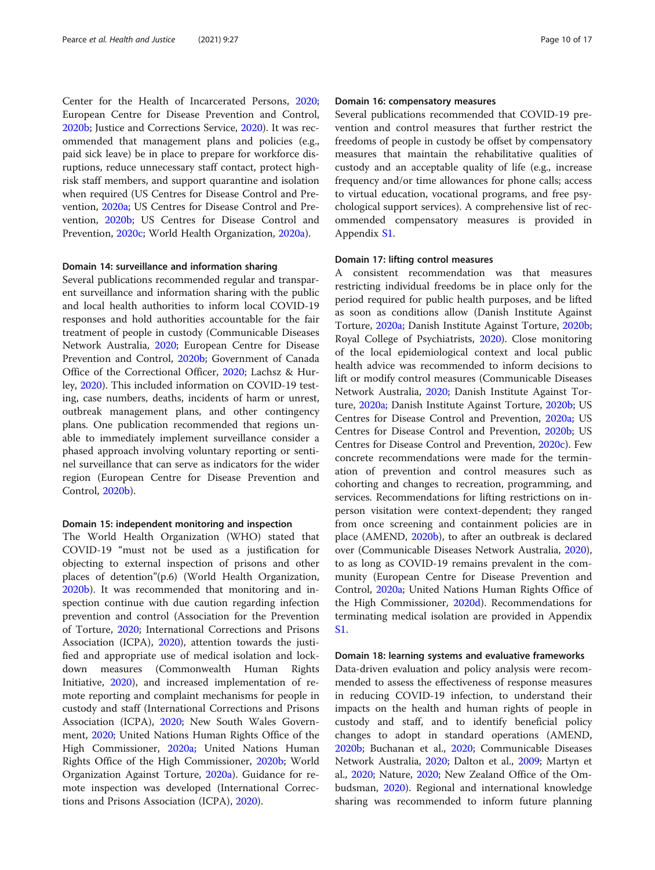Center for the Health of Incarcerated Persons, [2020](#page-13-0); European Centre for Disease Prevention and Control, [2020b](#page-13-0); Justice and Corrections Service, [2020\)](#page-14-0). It was recommended that management plans and policies (e.g., paid sick leave) be in place to prepare for workforce disruptions, reduce unnecessary staff contact, protect highrisk staff members, and support quarantine and isolation when required (US Centres for Disease Control and Prevention, [2020a;](#page-16-0) US Centres for Disease Control and Prevention, [2020b](#page-16-0); US Centres for Disease Control and Prevention, [2020c;](#page-16-0) World Health Organization, [2020a](#page-16-0)).

#### Domain 14: surveillance and information sharing

Several publications recommended regular and transparent surveillance and information sharing with the public and local health authorities to inform local COVID-19 responses and hold authorities accountable for the fair treatment of people in custody (Communicable Diseases Network Australia, [2020](#page-13-0); European Centre for Disease Prevention and Control, [2020b](#page-13-0); Government of Canada Office of the Correctional Officer, [2020](#page-14-0); Lachsz & Hurley, [2020\)](#page-14-0). This included information on COVID-19 testing, case numbers, deaths, incidents of harm or unrest, outbreak management plans, and other contingency plans. One publication recommended that regions unable to immediately implement surveillance consider a phased approach involving voluntary reporting or sentinel surveillance that can serve as indicators for the wider region (European Centre for Disease Prevention and Control, [2020b](#page-13-0)).

#### Domain 15: independent monitoring and inspection

The World Health Organization (WHO) stated that COVID-19 "must not be used as a justification for objecting to external inspection of prisons and other places of detention"(p.6) (World Health Organization, [2020b](#page-16-0)). It was recommended that monitoring and inspection continue with due caution regarding infection prevention and control (Association for the Prevention of Torture, [2020](#page-13-0); International Corrections and Prisons Association (ICPA), [2020\)](#page-14-0), attention towards the justified and appropriate use of medical isolation and lockdown measures (Commonwealth Human Rights Initiative, [2020\)](#page-13-0), and increased implementation of remote reporting and complaint mechanisms for people in custody and staff (International Corrections and Prisons Association (ICPA), [2020](#page-14-0); New South Wales Government, [2020](#page-15-0); United Nations Human Rights Office of the High Commissioner, [2020a;](#page-15-0) United Nations Human Rights Office of the High Commissioner, [2020b;](#page-15-0) World Organization Against Torture, [2020a](#page-16-0)). Guidance for remote inspection was developed (International Corrections and Prisons Association (ICPA), [2020](#page-14-0)).

# Domain 16: compensatory measures

Several publications recommended that COVID-19 prevention and control measures that further restrict the freedoms of people in custody be offset by compensatory measures that maintain the rehabilitative qualities of custody and an acceptable quality of life (e.g., increase frequency and/or time allowances for phone calls; access to virtual education, vocational programs, and free psychological support services). A comprehensive list of recommended compensatory measures is provided in Appendix [S1](#page-12-0).

# Domain 17: lifting control measures

A consistent recommendation was that measures restricting individual freedoms be in place only for the period required for public health purposes, and be lifted as soon as conditions allow (Danish Institute Against Torture, [2020a;](#page-13-0) Danish Institute Against Torture, [2020b](#page-13-0); Royal College of Psychiatrists, [2020\)](#page-15-0). Close monitoring of the local epidemiological context and local public health advice was recommended to inform decisions to lift or modify control measures (Communicable Diseases Network Australia, [2020](#page-13-0); Danish Institute Against Torture, [2020a;](#page-13-0) Danish Institute Against Torture, [2020b](#page-13-0); US Centres for Disease Control and Prevention, [2020a](#page-16-0); US Centres for Disease Control and Prevention, [2020b](#page-16-0); US Centres for Disease Control and Prevention, [2020c\)](#page-16-0). Few concrete recommendations were made for the termination of prevention and control measures such as cohorting and changes to recreation, programming, and services. Recommendations for lifting restrictions on inperson visitation were context-dependent; they ranged from once screening and containment policies are in place (AMEND, [2020b\)](#page-13-0), to after an outbreak is declared over (Communicable Diseases Network Australia, [2020](#page-13-0)), to as long as COVID-19 remains prevalent in the community (European Centre for Disease Prevention and Control, [2020a](#page-13-0); United Nations Human Rights Office of the High Commissioner, [2020d](#page-15-0)). Recommendations for terminating medical isolation are provided in Appendix [S1.](#page-12-0)

### Domain 18: learning systems and evaluative frameworks

Data-driven evaluation and policy analysis were recommended to assess the effectiveness of response measures in reducing COVID-19 infection, to understand their impacts on the health and human rights of people in custody and staff, and to identify beneficial policy changes to adopt in standard operations (AMEND, [2020b](#page-13-0); Buchanan et al., [2020](#page-13-0); Communicable Diseases Network Australia, [2020;](#page-13-0) Dalton et al., [2009;](#page-13-0) Martyn et al., [2020](#page-14-0); Nature, [2020;](#page-15-0) New Zealand Office of the Ombudsman, [2020\)](#page-15-0). Regional and international knowledge sharing was recommended to inform future planning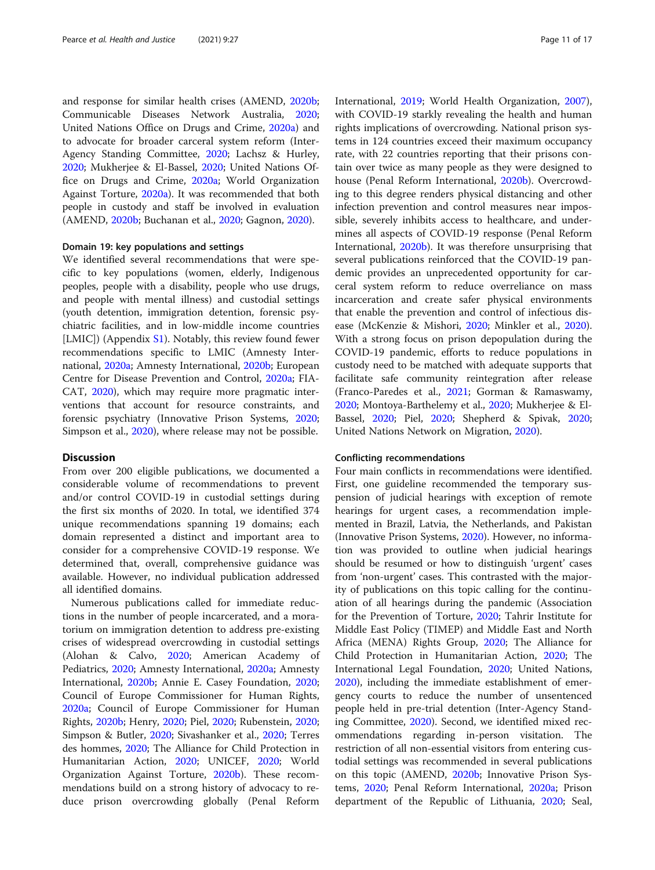and response for similar health crises (AMEND, [2020b](#page-13-0); Communicable Diseases Network Australia, [2020](#page-13-0); United Nations Office on Drugs and Crime, [2020a\)](#page-16-0) and to advocate for broader carceral system reform (Inter-Agency Standing Committee, [2020;](#page-14-0) Lachsz & Hurley, [2020](#page-14-0); Mukherjee & El-Bassel, [2020](#page-14-0); United Nations Office on Drugs and Crime, [2020a](#page-16-0); World Organization Against Torture, [2020a\)](#page-16-0). It was recommended that both people in custody and staff be involved in evaluation (AMEND, [2020b;](#page-13-0) Buchanan et al., [2020;](#page-13-0) Gagnon, [2020\)](#page-14-0).

#### Domain 19: key populations and settings

We identified several recommendations that were specific to key populations (women, elderly, Indigenous peoples, people with a disability, people who use drugs, and people with mental illness) and custodial settings (youth detention, immigration detention, forensic psychiatric facilities, and in low-middle income countries [LMIC]) (Appendix [S1](#page-12-0)). Notably, this review found fewer recommendations specific to LMIC (Amnesty International, [2020a;](#page-13-0) Amnesty International, [2020b](#page-13-0); European Centre for Disease Prevention and Control, [2020a;](#page-13-0) FIA-CAT, [2020](#page-14-0)), which may require more pragmatic interventions that account for resource constraints, and forensic psychiatry (Innovative Prison Systems, [2020](#page-14-0); Simpson et al., [2020](#page-15-0)), where release may not be possible.

#### **Discussion**

From over 200 eligible publications, we documented a considerable volume of recommendations to prevent and/or control COVID-19 in custodial settings during the first six months of 2020. In total, we identified 374 unique recommendations spanning 19 domains; each domain represented a distinct and important area to consider for a comprehensive COVID-19 response. We determined that, overall, comprehensive guidance was available. However, no individual publication addressed all identified domains.

Numerous publications called for immediate reductions in the number of people incarcerated, and a moratorium on immigration detention to address pre-existing crises of widespread overcrowding in custodial settings (Alohan & Calvo, [2020](#page-13-0); American Academy of Pediatrics, [2020](#page-13-0); Amnesty International, [2020a;](#page-13-0) Amnesty International, [2020b;](#page-13-0) Annie E. Casey Foundation, [2020](#page-13-0); Council of Europe Commissioner for Human Rights, [2020a;](#page-13-0) Council of Europe Commissioner for Human Rights, [2020b](#page-13-0); Henry, [2020;](#page-14-0) Piel, [2020;](#page-15-0) Rubenstein, [2020](#page-15-0); Simpson & Butler, [2020](#page-15-0); Sivashanker et al., [2020;](#page-15-0) Terres des hommes, [2020;](#page-15-0) The Alliance for Child Protection in Humanitarian Action, [2020](#page-15-0); UNICEF, [2020;](#page-15-0) World Organization Against Torture, [2020b\)](#page-16-0). These recommendations build on a strong history of advocacy to reduce prison overcrowding globally (Penal Reform

International, [2019;](#page-15-0) World Health Organization, [2007](#page-16-0)), with COVID-19 starkly revealing the health and human rights implications of overcrowding. National prison systems in 124 countries exceed their maximum occupancy rate, with 22 countries reporting that their prisons contain over twice as many people as they were designed to house (Penal Reform International, [2020b](#page-15-0)). Overcrowding to this degree renders physical distancing and other infection prevention and control measures near impossible, severely inhibits access to healthcare, and undermines all aspects of COVID-19 response (Penal Reform International, [2020b](#page-15-0)). It was therefore unsurprising that several publications reinforced that the COVID-19 pandemic provides an unprecedented opportunity for carceral system reform to reduce overreliance on mass incarceration and create safer physical environments that enable the prevention and control of infectious disease (McKenzie & Mishori, [2020;](#page-14-0) Minkler et al., [2020](#page-14-0)). With a strong focus on prison depopulation during the COVID-19 pandemic, efforts to reduce populations in custody need to be matched with adequate supports that facilitate safe community reintegration after release (Franco-Paredes et al., [2021;](#page-14-0) Gorman & Ramaswamy, [2020](#page-14-0); Montoya-Barthelemy et al., [2020](#page-14-0); Mukherjee & El-Bassel, [2020](#page-14-0); Piel, [2020;](#page-15-0) Shepherd & Spivak, [2020](#page-15-0); United Nations Network on Migration, [2020\)](#page-16-0).

#### Conflicting recommendations

Four main conflicts in recommendations were identified. First, one guideline recommended the temporary suspension of judicial hearings with exception of remote hearings for urgent cases, a recommendation implemented in Brazil, Latvia, the Netherlands, and Pakistan (Innovative Prison Systems, [2020\)](#page-14-0). However, no information was provided to outline when judicial hearings should be resumed or how to distinguish 'urgent' cases from 'non-urgent' cases. This contrasted with the majority of publications on this topic calling for the continuation of all hearings during the pandemic (Association for the Prevention of Torture, [2020](#page-13-0); Tahrir Institute for Middle East Policy (TIMEP) and Middle East and North Africa (MENA) Rights Group, [2020;](#page-15-0) The Alliance for Child Protection in Humanitarian Action, [2020](#page-15-0); The International Legal Foundation, [2020;](#page-15-0) United Nations, [2020](#page-15-0)), including the immediate establishment of emergency courts to reduce the number of unsentenced people held in pre-trial detention (Inter-Agency Standing Committee, [2020](#page-14-0)). Second, we identified mixed recommendations regarding in-person visitation. The restriction of all non-essential visitors from entering custodial settings was recommended in several publications on this topic (AMEND, [2020b](#page-13-0); Innovative Prison Systems, [2020](#page-14-0); Penal Reform International, [2020a](#page-15-0); Prison department of the Republic of Lithuania, [2020](#page-15-0); Seal,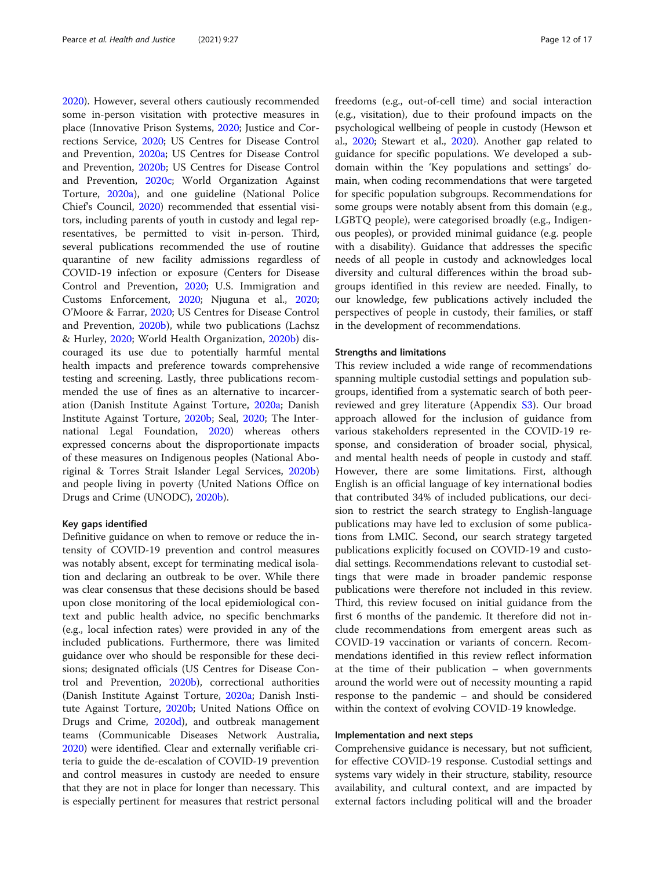[2020](#page-15-0)). However, several others cautiously recommended some in-person visitation with protective measures in place (Innovative Prison Systems, [2020;](#page-14-0) Justice and Corrections Service, [2020;](#page-14-0) US Centres for Disease Control and Prevention, [2020a](#page-16-0); US Centres for Disease Control and Prevention, [2020b;](#page-16-0) US Centres for Disease Control and Prevention, [2020c](#page-16-0); World Organization Against Torture, [2020a\)](#page-16-0), and one guideline (National Police Chief's Council, [2020\)](#page-14-0) recommended that essential visitors, including parents of youth in custody and legal representatives, be permitted to visit in-person. Third, several publications recommended the use of routine quarantine of new facility admissions regardless of COVID-19 infection or exposure (Centers for Disease Control and Prevention, [2020;](#page-13-0) U.S. Immigration and Customs Enforcement, [2020](#page-15-0); Njuguna et al., [2020](#page-15-0); O'Moore & Farrar, [2020](#page-15-0); US Centres for Disease Control and Prevention, [2020b](#page-16-0)), while two publications (Lachsz & Hurley, [2020;](#page-14-0) World Health Organization, [2020b](#page-16-0)) discouraged its use due to potentially harmful mental health impacts and preference towards comprehensive testing and screening. Lastly, three publications recommended the use of fines as an alternative to incarceration (Danish Institute Against Torture, [2020a](#page-13-0); Danish Institute Against Torture, [2020b;](#page-13-0) Seal, [2020;](#page-15-0) The International Legal Foundation, [2020](#page-15-0)) whereas others expressed concerns about the disproportionate impacts of these measures on Indigenous peoples (National Aboriginal & Torres Strait Islander Legal Services, [2020b](#page-14-0)) and people living in poverty (United Nations Office on Drugs and Crime (UNODC), [2020b\)](#page-16-0).

#### Key gaps identified

Definitive guidance on when to remove or reduce the intensity of COVID-19 prevention and control measures was notably absent, except for terminating medical isolation and declaring an outbreak to be over. While there was clear consensus that these decisions should be based upon close monitoring of the local epidemiological context and public health advice, no specific benchmarks (e.g., local infection rates) were provided in any of the included publications. Furthermore, there was limited guidance over who should be responsible for these decisions; designated officials (US Centres for Disease Control and Prevention, [2020b\)](#page-16-0), correctional authorities (Danish Institute Against Torture, [2020a](#page-13-0); Danish Institute Against Torture, [2020b;](#page-13-0) United Nations Office on Drugs and Crime, [2020d](#page-16-0)), and outbreak management teams (Communicable Diseases Network Australia, [2020](#page-13-0)) were identified. Clear and externally verifiable criteria to guide the de-escalation of COVID-19 prevention and control measures in custody are needed to ensure that they are not in place for longer than necessary. This is especially pertinent for measures that restrict personal freedoms (e.g., out-of-cell time) and social interaction (e.g., visitation), due to their profound impacts on the psychological wellbeing of people in custody (Hewson et al., [2020](#page-14-0); Stewart et al., [2020](#page-15-0)). Another gap related to guidance for specific populations. We developed a subdomain within the 'Key populations and settings' domain, when coding recommendations that were targeted for specific population subgroups. Recommendations for some groups were notably absent from this domain (e.g., LGBTQ people), were categorised broadly (e.g., Indigenous peoples), or provided minimal guidance (e.g. people with a disability). Guidance that addresses the specific needs of all people in custody and acknowledges local diversity and cultural differences within the broad subgroups identified in this review are needed. Finally, to our knowledge, few publications actively included the perspectives of people in custody, their families, or staff in the development of recommendations.

#### Strengths and limitations

This review included a wide range of recommendations spanning multiple custodial settings and population subgroups, identified from a systematic search of both peerreviewed and grey literature (Appendix [S3](#page-12-0)). Our broad approach allowed for the inclusion of guidance from various stakeholders represented in the COVID-19 response, and consideration of broader social, physical, and mental health needs of people in custody and staff. However, there are some limitations. First, although English is an official language of key international bodies that contributed 34% of included publications, our decision to restrict the search strategy to English-language publications may have led to exclusion of some publications from LMIC. Second, our search strategy targeted publications explicitly focused on COVID-19 and custodial settings. Recommendations relevant to custodial settings that were made in broader pandemic response publications were therefore not included in this review. Third, this review focused on initial guidance from the first 6 months of the pandemic. It therefore did not include recommendations from emergent areas such as COVID-19 vaccination or variants of concern. Recommendations identified in this review reflect information at the time of their publication – when governments around the world were out of necessity mounting a rapid response to the pandemic – and should be considered within the context of evolving COVID-19 knowledge.

# Implementation and next steps

Comprehensive guidance is necessary, but not sufficient, for effective COVID-19 response. Custodial settings and systems vary widely in their structure, stability, resource availability, and cultural context, and are impacted by external factors including political will and the broader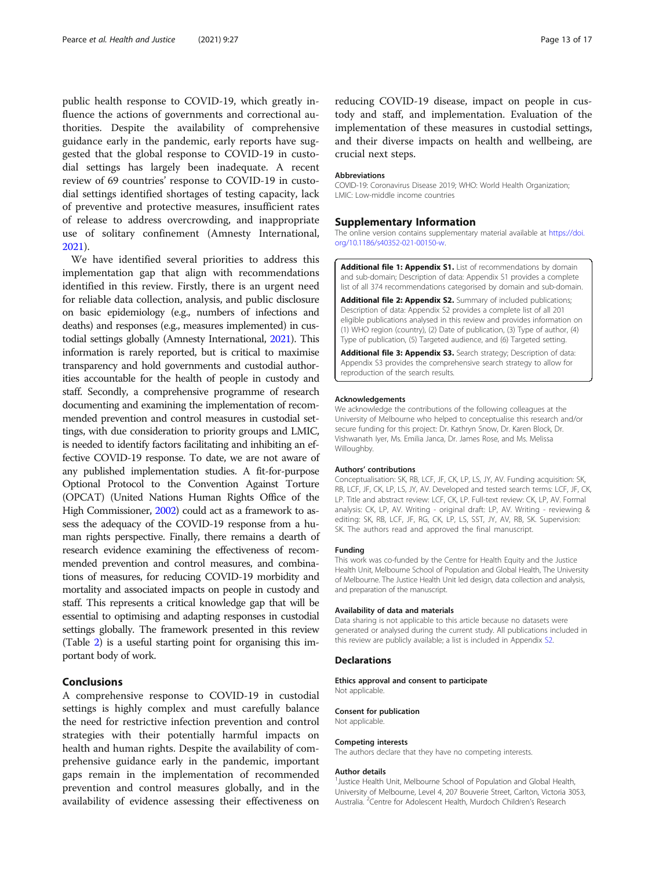<span id="page-12-0"></span>public health response to COVID-19, which greatly influence the actions of governments and correctional authorities. Despite the availability of comprehensive guidance early in the pandemic, early reports have suggested that the global response to COVID-19 in custodial settings has largely been inadequate. A recent review of 69 countries' response to COVID-19 in custodial settings identified shortages of testing capacity, lack of preventive and protective measures, insufficient rates of release to address overcrowding, and inappropriate use of solitary confinement (Amnesty International, [2021](#page-13-0)).

We have identified several priorities to address this implementation gap that align with recommendations identified in this review. Firstly, there is an urgent need for reliable data collection, analysis, and public disclosure on basic epidemiology (e.g., numbers of infections and deaths) and responses (e.g., measures implemented) in custodial settings globally (Amnesty International, [2021\)](#page-13-0). This information is rarely reported, but is critical to maximise transparency and hold governments and custodial authorities accountable for the health of people in custody and staff. Secondly, a comprehensive programme of research documenting and examining the implementation of recommended prevention and control measures in custodial settings, with due consideration to priority groups and LMIC, is needed to identify factors facilitating and inhibiting an effective COVID-19 response. To date, we are not aware of any published implementation studies. A fit-for-purpose Optional Protocol to the Convention Against Torture (OPCAT) (United Nations Human Rights Office of the High Commissioner, [2002\)](#page-15-0) could act as a framework to assess the adequacy of the COVID-19 response from a human rights perspective. Finally, there remains a dearth of research evidence examining the effectiveness of recommended prevention and control measures, and combinations of measures, for reducing COVID-19 morbidity and mortality and associated impacts on people in custody and staff. This represents a critical knowledge gap that will be essential to optimising and adapting responses in custodial settings globally. The framework presented in this review (Table [2](#page-6-0)) is a useful starting point for organising this important body of work.

# Conclusions

A comprehensive response to COVID-19 in custodial settings is highly complex and must carefully balance the need for restrictive infection prevention and control strategies with their potentially harmful impacts on health and human rights. Despite the availability of comprehensive guidance early in the pandemic, important gaps remain in the implementation of recommended prevention and control measures globally, and in the availability of evidence assessing their effectiveness on

reducing COVID-19 disease, impact on people in custody and staff, and implementation. Evaluation of the implementation of these measures in custodial settings, and their diverse impacts on health and wellbeing, are crucial next steps.

#### Abbreviations

COVID-19: Coronavirus Disease 2019; WHO: World Health Organization; LMIC: Low-middle income countries

#### Supplementary Information

The online version contains supplementary material available at [https://doi.](https://doi.org/10.1186/s40352-021-00150-w) [org/10.1186/s40352-021-00150-w](https://doi.org/10.1186/s40352-021-00150-w).

Additional file 1: Appendix S1. List of recommendations by domain and sub-domain; Description of data: Appendix S1 provides a complete list of all 374 recommendations categorised by domain and sub-domain.

Additional file 2: Appendix S2. Summary of included publications; Description of data: Appendix S2 provides a complete list of all 201 eligible publications analysed in this review and provides information on (1) WHO region (country), (2) Date of publication, (3) Type of author, (4) Type of publication, (5) Targeted audience, and (6) Targeted setting.

Additional file 3: Appendix S3. Search strategy; Description of data: Appendix S3 provides the comprehensive search strategy to allow for reproduction of the search results.

#### Acknowledgements

We acknowledge the contributions of the following colleagues at the University of Melbourne who helped to conceptualise this research and/or secure funding for this project: Dr. Kathryn Snow, Dr. Karen Block, Dr. Vishwanath Iyer, Ms. Emilia Janca, Dr. James Rose, and Ms. Melissa Willoughby.

#### Authors' contributions

Conceptualisation: SK, RB, LCF, JF, CK, LP, LS, JY, AV. Funding acquisition: SK, RB, LCF, JF, CK, LP, LS, JY, AV. Developed and tested search terms: LCF, JF, CK, LP. Title and abstract review: LCF, CK, LP. Full-text review: CK, LP, AV. Formal analysis: CK, LP, AV. Writing - original draft: LP, AV. Writing - reviewing & editing: SK, RB, LCF, JF, RG, CK, LP, LS, SST, JY, AV, RB, SK. Supervision: SK. The authors read and approved the final manuscript.

#### Funding

This work was co-funded by the Centre for Health Equity and the Justice Health Unit, Melbourne School of Population and Global Health, The University of Melbourne. The Justice Health Unit led design, data collection and analysis, and preparation of the manuscript.

#### Availability of data and materials

Data sharing is not applicable to this article because no datasets were generated or analysed during the current study. All publications included in this review are publicly available; a list is included in Appendix S2.

#### Declarations

Ethics approval and consent to participate

Not applicable.

#### Consent for publication Not applicable.

# Competing interests

The authors declare that they have no competing interests.

#### Author details

<sup>1</sup> Justice Health Unit, Melbourne School of Population and Global Health University of Melbourne, Level 4, 207 Bouverie Street, Carlton, Victoria 3053, Australia. <sup>2</sup>Centre for Adolescent Health, Murdoch Children's Research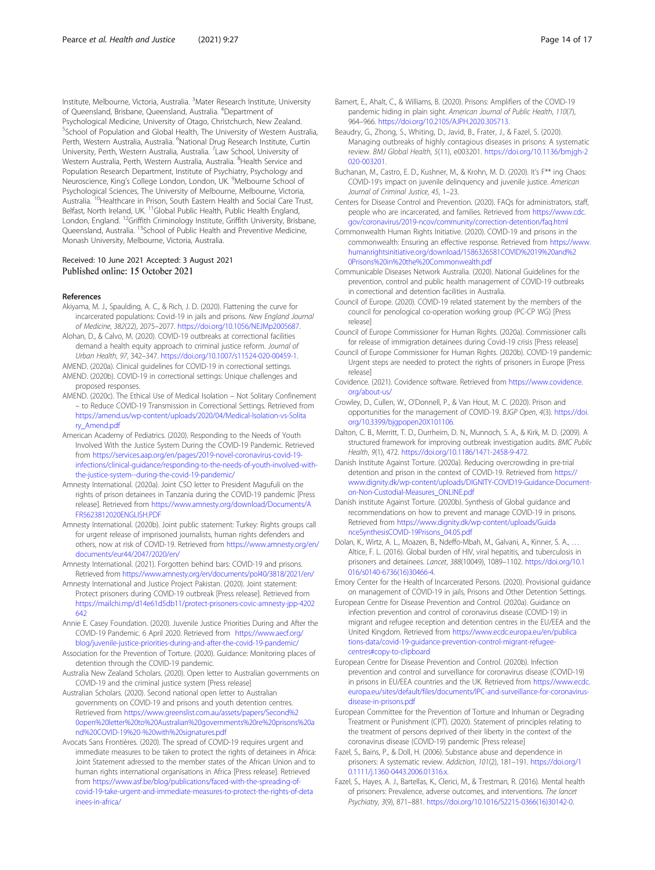<span id="page-13-0"></span>Institute, Melbourne, Victoria, Australia. <sup>3</sup>Mater Research Institute, University of Queensland, Brisbane, Queensland, Australia. <sup>4</sup>Department of Psychological Medicine, University of Otago, Christchurch, New Zealand. <sup>5</sup>School of Population and Global Health, The University of Western Australia, Perth, Western Australia, Australia. <sup>6</sup>National Drug Research Institute, Curtin University, Perth, Western Australia, Australia. <sup>7</sup>Law School, University of Western Australia, Perth, Western Australia, Australia. <sup>8</sup>Health Service and Population Research Department, Institute of Psychiatry, Psychology and Neuroscience, King's College London, London, UK. <sup>9</sup>Melbourne School of Psychological Sciences, The University of Melbourne, Melbourne, Victoria, Australia. 10Healthcare in Prison, South Eastern Health and Social Care Trust, Belfast, North Ireland, UK. <sup>11</sup>Global Public Health, Public Health England, London, England. 12Griffith Criminology Institute, Griffith University, Brisbane, Queensland, Australia. <sup>13</sup>School of Public Health and Preventive Medicine, Monash University, Melbourne, Victoria, Australia.

# Received: 10 June 2021 Accepted: 3 August 2021<br>Published online: 15 October 2021

#### References

- Akiyama, M. J., Spaulding, A. C., & Rich, J. D. (2020). Flattening the curve for incarcerated populations: Covid-19 in jails and prisons. New England Journal of Medicine, 382(22), 2075–2077. <https://doi.org/10.1056/NEJMp2005687>.
- Alohan, D., & Calvo, M. (2020). COVID-19 outbreaks at correctional facilities demand a health equity approach to criminal justice reform. Journal of Urban Health, 97, 342–347. <https://doi.org/10.1007/s11524-020-00459-1>.
- AMEND. (2020a). Clinical guidelines for COVID-19 in correctional settings. AMEND. (2020b). COVID-19 in correctional settings: Unique challenges and proposed responses.
- AMEND. (2020c). The Ethical Use of Medical Isolation Not Solitary Confinement – to Reduce COVID-19 Transmission in Correctional Settings. Retrieved from [https://amend.us/wp-content/uploads/2020/04/Medical-Isolation-vs-Solita](https://amend.us/wp-content/uploads/2020/04/Medical-Isolation-vs-Solitary_Amend.pdf) [ry\\_Amend.pdf](https://amend.us/wp-content/uploads/2020/04/Medical-Isolation-vs-Solitary_Amend.pdf)
- American Academy of Pediatrics. (2020). Responding to the Needs of Youth Involved With the Justice System During the COVID-19 Pandemic. Retrieved from [https://services.aap.org/en/pages/2019-novel-coronavirus-covid-19](https://services.aap.org/en/pages/2019-novel-coronavirus-covid-19-infections/clinical-guidance/responding-to-the-needs-of-youth-involved-with-the-justice-system--during-the-covid-19-pandemic/) [infections/clinical-guidance/responding-to-the-needs-of-youth-involved-with](https://services.aap.org/en/pages/2019-novel-coronavirus-covid-19-infections/clinical-guidance/responding-to-the-needs-of-youth-involved-with-the-justice-system--during-the-covid-19-pandemic/)[the-justice-system--during-the-covid-19-pandemic/](https://services.aap.org/en/pages/2019-novel-coronavirus-covid-19-infections/clinical-guidance/responding-to-the-needs-of-youth-involved-with-the-justice-system--during-the-covid-19-pandemic/)
- Amnesty International. (2020a). Joint CSO letter to President Magufuli on the rights of prison detainees in Tanzania during the COVID-19 pandemic [Press release]. Retrieved from [https://www.amnesty.org/download/Documents/A](https://www.amnesty.org/download/Documents/AFR5623812020ENGLISH.PDF) [FR5623812020ENGLISH.PDF](https://www.amnesty.org/download/Documents/AFR5623812020ENGLISH.PDF)
- Amnesty International. (2020b). Joint public statement: Turkey: Rights groups call for urgent release of imprisoned journalists, human rights defenders and others, now at risk of COVID-19. Retrieved from [https://www.amnesty.org/en/](https://www.amnesty.org/en/documents/eur44/2047/2020/en/) [documents/eur44/2047/2020/en/](https://www.amnesty.org/en/documents/eur44/2047/2020/en/)
- Amnesty International. (2021). Forgotten behind bars: COVID-19 and prisons. Retrieved from <https://www.amnesty.org/en/documents/pol40/3818/2021/en/>
- Amnesty International and Justice Project Pakistan. (2020). Joint statement: Protect prisoners during COVID-19 outbreak [Press release]. Retrieved from [https://mailchi.mp/d14e61d5db11/protect-prisoners-covic-amnesty-jpp-4202](https://mailchi.mp/d14e61d5db11/protect-prisoners-covic-amnesty-jpp-4202642) [642](https://mailchi.mp/d14e61d5db11/protect-prisoners-covic-amnesty-jpp-4202642)
- Annie E. Casey Foundation. (2020). Juvenile Justice Priorities During and After the COVID-19 Pandemic. 6 April 2020. Retrieved from [https://www.aecf.org/](https://www.aecf.org/blog/juvenile-justice-priorities-during-and-after-the-covid-19-pandemic/) [blog/juvenile-justice-priorities-during-and-after-the-covid-19-pandemic/](https://www.aecf.org/blog/juvenile-justice-priorities-during-and-after-the-covid-19-pandemic/)
- Association for the Prevention of Torture. (2020). Guidance: Monitoring places of detention through the COVID-19 pandemic.
- Australia New Zealand Scholars. (2020). Open letter to Australian governments on COVID-19 and the criminal justice system [Press release]
- Australian Scholars. (2020). Second national open letter to Australian governments on COVID-19 and prisons and youth detention centres. Retrieved from [https://www.greenslist.com.au/assets/papers/Second%2](https://www.greenslist.com.au/assets/papers/Second%20open%20letter%20to%20Australian%20governments%20re%20prisons%20and%20COVID-19%20-%20with%20signatures.pdf) [0open%20letter%20to%20Australian%20governments%20re%20prisons%20a](https://www.greenslist.com.au/assets/papers/Second%20open%20letter%20to%20Australian%20governments%20re%20prisons%20and%20COVID-19%20-%20with%20signatures.pdf) [nd%20COVID-19%20-%20with%20signatures.pdf](https://www.greenslist.com.au/assets/papers/Second%20open%20letter%20to%20Australian%20governments%20re%20prisons%20and%20COVID-19%20-%20with%20signatures.pdf)
- Avocats Sans Frontières. (2020). The spread of COVID-19 requires urgent and immediate measures to be taken to protect the rights of detainees in Africa: Joint Statement adressed to the member states of the African Union and to human rights international organisations in Africa [Press release]. Retrieved from [https://www.asf.be/blog/publications/faced-with-the-spreading-of](https://www.asf.be/blog/publications/faced-with-the-spreading-of-covid-19-take-urgent-and-immediate-measures-to-protect-the-rights-of-detainees-in-africa/)[covid-19-take-urgent-and-immediate-measures-to-protect-the-rights-of-deta](https://www.asf.be/blog/publications/faced-with-the-spreading-of-covid-19-take-urgent-and-immediate-measures-to-protect-the-rights-of-detainees-in-africa/) [inees-in-africa/](https://www.asf.be/blog/publications/faced-with-the-spreading-of-covid-19-take-urgent-and-immediate-measures-to-protect-the-rights-of-detainees-in-africa/)
- Barnert, E., Ahalt, C., & Williams, B. (2020). Prisons: Amplifiers of the COVID-19 pandemic hiding in plain sight. American Journal of Public Health, 110(7), 964–966. <https://doi.org/10.2105/AJPH.2020.305713>.
- Beaudry, G., Zhong, S., Whiting, D., Javid, B., Frater, J., & Fazel, S. (2020). Managing outbreaks of highly contagious diseases in prisons: A systematic review. BMJ Global Health, 5(11), e003201. [https://doi.org/10.1136/bmjgh-2](https://doi.org/10.1136/bmjgh-2020-003201) [020-003201](https://doi.org/10.1136/bmjgh-2020-003201).
- Buchanan, M., Castro, E. D., Kushner, M., & Krohn, M. D. (2020). It's F\*\* ing Chaos: COVID-19's impact on juvenile delinquency and juvenile justice. American Journal of Criminal Justice, 45, 1–23.
- Centers for Disease Control and Prevention. (2020). FAQs for administrators, staff, people who are incarcerated, and families. Retrieved from [https://www.cdc.](https://www.cdc.gov/coronavirus/2019-ncov/community/correction-detention/faq.html) [gov/coronavirus/2019-ncov/community/correction-detention/faq.html](https://www.cdc.gov/coronavirus/2019-ncov/community/correction-detention/faq.html)
- Commonwealth Human Rights Initiative. (2020). COVID-19 and prisons in the commonwealth: Ensuring an effective response. Retrieved from [https://www.](https://www.humanrightsinitiative.org/download/1586326581COVID%2019%20and%20Prisons%20in%20the%20Commonwealth.pdf) [humanrightsinitiative.org/download/1586326581COVID%2019%20and%2](https://www.humanrightsinitiative.org/download/1586326581COVID%2019%20and%20Prisons%20in%20the%20Commonwealth.pdf) [0Prisons%20in%20the%20Commonwealth.pdf](https://www.humanrightsinitiative.org/download/1586326581COVID%2019%20and%20Prisons%20in%20the%20Commonwealth.pdf)
- Communicable Diseases Network Australia. (2020). National Guidelines for the prevention, control and public health management of COVID-19 outbreaks in correctional and detention facilities in Australia.
- Council of Europe. (2020). COVID-19 related statement by the members of the council for penological co-operation working group (PC-CP WG) [Press release]
- Council of Europe Commissioner for Human Rights. (2020a). Commissioner calls for release of immigration detainees during Covid-19 crisis [Press release]
- Council of Europe Commissioner for Human Rights. (2020b). COVID-19 pandemic: Urgent steps are needed to protect the rights of prisoners in Europe [Press release]
- Covidence. (2021). Covidence software. Retrieved from [https://www.covidence.](https://www.covidence.org/about-us/) [org/about-us/](https://www.covidence.org/about-us/)
- Crowley, D., Cullen, W., O'Donnell, P., & Van Hout, M. C. (2020). Prison and opportunities for the management of COVID-19. BJGP Open, 4(3). [https://doi.](https://doi.org/10.3399/bjgpopen20X101106) [org/10.3399/bjgpopen20X101106](https://doi.org/10.3399/bjgpopen20X101106).
- Dalton, C. B., Merritt, T. D., Durrheim, D. N., Munnoch, S. A., & Kirk, M. D. (2009). A structured framework for improving outbreak investigation audits. BMC Public Health, 9(1), 472. [https://doi.org/10.1186/1471-2458-9-472.](https://doi.org/10.1186/1471-2458-9-472)
- Danish Institute Against Torture. (2020a). Reducing overcrowding in pre-trial detention and prison in the context of COVID-19. Retrieved from [https://](https://www.dignity.dk/wp-content/uploads/DIGNITY-COVID19-Guidance-Document-on-Non-Custodial-Measures_ONLINE.pdf) [www.dignity.dk/wp-content/uploads/DIGNITY-COVID19-Guidance-Document](https://www.dignity.dk/wp-content/uploads/DIGNITY-COVID19-Guidance-Document-on-Non-Custodial-Measures_ONLINE.pdf)[on-Non-Custodial-Measures\\_ONLINE.pdf](https://www.dignity.dk/wp-content/uploads/DIGNITY-COVID19-Guidance-Document-on-Non-Custodial-Measures_ONLINE.pdf)
- Danish institute Against Torture. (2020b). Synthesis of Global guidance and recommendations on how to prevent and manage COVID-19 in prisons. Retrieved from [https://www.dignity.dk/wp-content/uploads/Guida](https://www.dignity.dk/wp-content/uploads/GuidanceSynthesisCOVID-19Prisons_04.05.pdf) [nceSynthesisCOVID-19Prisons\\_04.05.pdf](https://www.dignity.dk/wp-content/uploads/GuidanceSynthesisCOVID-19Prisons_04.05.pdf)
- Dolan, K., Wirtz, A. L., Moazen, B., Ndeffo-Mbah, M., Galvani, A., Kinner, S. A., … Altice, F. L. (2016). Global burden of HIV, viral hepatitis, and tuberculosis in prisoners and detainees. Lancet, 388(10049), 1089–1102. [https://doi.org/10.1](https://doi.org/10.1016/s0140-6736(16)30466-4) [016/s0140-6736\(16\)30466-4](https://doi.org/10.1016/s0140-6736(16)30466-4).
- Emory Center for the Health of Incarcerated Persons. (2020). Provisional guidance on management of COVID-19 in jails, Prisons and Other Detention Settings.
- European Centre for Disease Prevention and Control. (2020a). Guidance on infection prevention and control of coronavirus disease (COVID-19) in migrant and refugee reception and detention centres in the EU/EEA and the United Kingdom. Retrieved from [https://www.ecdc.europa.eu/en/publica](https://www.ecdc.europa.eu/en/publications-data/covid-19-guidance-prevention-control-migrant-refugee-centres#copy-to-clipboard) [tions-data/covid-19-guidance-prevention-control-migrant-refugee](https://www.ecdc.europa.eu/en/publications-data/covid-19-guidance-prevention-control-migrant-refugee-centres#copy-to-clipboard)[centres#copy-to-clipboard](https://www.ecdc.europa.eu/en/publications-data/covid-19-guidance-prevention-control-migrant-refugee-centres#copy-to-clipboard)
- European Centre for Disease Prevention and Control. (2020b). Infection prevention and control and surveillance for coronavirus disease (COVID-19) in prisons in EU/EEA countries and the UK. Retrieved from [https://www.ecdc.](https://www.ecdc.europa.eu/sites/default/files/documents/IPC-and-surveillance-for-coronavirus-disease-in-prisons.pdf) [europa.eu/sites/default/files/documents/IPC-and-surveillance-for-coronavirus](https://www.ecdc.europa.eu/sites/default/files/documents/IPC-and-surveillance-for-coronavirus-disease-in-prisons.pdf)[disease-in-prisons.pdf](https://www.ecdc.europa.eu/sites/default/files/documents/IPC-and-surveillance-for-coronavirus-disease-in-prisons.pdf)
- European Committee for the Prevention of Torture and Inhuman or Degrading Treatment or Punishment (CPT). (2020). Statement of principles relating to the treatment of persons deprived of their liberty in the context of the coronavirus disease (COVID-19) pandemic [Press release]
- Fazel, S., Bains, P., & Doll, H. (2006). Substance abuse and dependence in prisoners: A systematic review. Addiction, 101(2), 181–191. [https://doi.org/1](https://doi.org/10.1111/j.1360-0443.2006.01316.x) [0.1111/j.1360-0443.2006.01316.x.](https://doi.org/10.1111/j.1360-0443.2006.01316.x)
- Fazel, S., Hayes, A. J., Bartellas, K., Clerici, M., & Trestman, R. (2016). Mental health of prisoners: Prevalence, adverse outcomes, and interventions. The lancet Psychiatry, 3(9), 871–881. [https://doi.org/10.1016/S2215-0366\(16\)30142-0](https://doi.org/10.1016/S2215-0366(16)30142-0).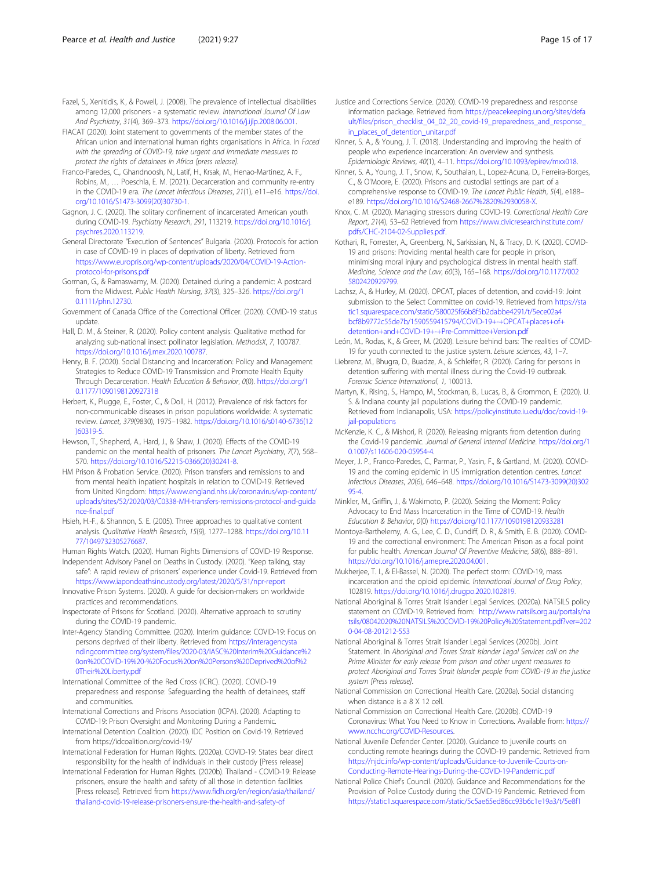- <span id="page-14-0"></span>Fazel, S., Xenitidis, K., & Powell, J. (2008). The prevalence of intellectual disabilities among 12,000 prisoners - a systematic review. International Journal Of Law And Psychiatry, 31(4), 369–373. [https://doi.org/10.1016/j.ijlp.2008.06.001.](https://doi.org/10.1016/j.ijlp.2008.06.001)
- FIACAT (2020). Joint statement to governments of the member states of the African union and international human rights organisations in Africa. In Faced with the spreading of COVID-19, take urgent and immediate measures to protect the rights of detainees in Africa [press release].
- Franco-Paredes, C., Ghandnoosh, N., Latif, H., Krsak, M., Henao-Martinez, A. F., Robins, M., … Poeschla, E. M. (2021). Decarceration and community re-entry in the COVID-19 era. The Lancet Infectious Diseases, 21(1), e11–e16. [https://doi.](https://doi.org/10.1016/S1473-3099(20)30730-1) [org/10.1016/S1473-3099\(20\)30730-1.](https://doi.org/10.1016/S1473-3099(20)30730-1)
- Gagnon, J. C. (2020). The solitary confinement of incarcerated American youth during COVID-19. Psychiatry Research, 291, 113219. [https://doi.org/10.1016/j.](https://doi.org/10.1016/j.psychres.2020.113219) [psychres.2020.113219.](https://doi.org/10.1016/j.psychres.2020.113219)
- General Directorate "Execution of Sentences" Bulgaria. (2020). Protocols for action in case of COVID-19 in places of deprivation of liberty. Retrieved from [https://www.europris.org/wp-content/uploads/2020/04/COVID-19-Action](https://www.europris.org/wp-content/uploads/2020/04/COVID-19-Action-protocol-for-prisons.pdf)[protocol-for-prisons.pdf](https://www.europris.org/wp-content/uploads/2020/04/COVID-19-Action-protocol-for-prisons.pdf)
- Gorman, G., & Ramaswamy, M. (2020). Detained during a pandemic: A postcard from the Midwest. Public Health Nursing, 37(3), 325–326. [https://doi.org/1](https://doi.org/10.1111/phn.12730) [0.1111/phn.12730](https://doi.org/10.1111/phn.12730).
- Government of Canada Office of the Correctional Officer. (2020). COVID-19 status update.
- Hall, D. M., & Steiner, R. (2020). Policy content analysis: Qualitative method for analyzing sub-national insect pollinator legislation. MethodsX, 7, 100787. <https://doi.org/10.1016/j.mex.2020.100787>.
- Henry, B. F. (2020). Social Distancing and Incarceration: Policy and Management Strategies to Reduce COVID-19 Transmission and Promote Health Equity Through Decarceration. Health Education & Behavior, 0(0). [https://doi.org/1](https://doi.org/10.1177/1090198120927318) [0.1177/1090198120927318](https://doi.org/10.1177/1090198120927318)
- Herbert, K., Plugge, E., Foster, C., & Doll, H. (2012). Prevalence of risk factors for non-communicable diseases in prison populations worldwide: A systematic review. Lancet, 379(9830), 1975–1982. [https://doi.org/10.1016/s0140-6736\(12](https://doi.org/10.1016/s0140-6736(12)60319-5) [\)60319-5](https://doi.org/10.1016/s0140-6736(12)60319-5).
- Hewson, T., Shepherd, A., Hard, J., & Shaw, J. (2020). Effects of the COVID-19 pandemic on the mental health of prisoners. The Lancet Psychiatry, 7(7), 568– 570. [https://doi.org/10.1016/S2215-0366\(20\)30241-8](https://doi.org/10.1016/S2215-0366(20)30241-8).
- HM Prison & Probation Service. (2020). Prison transfers and remissions to and from mental health inpatient hospitals in relation to COVID-19. Retrieved from United Kingdom: [https://www.england.nhs.uk/coronavirus/wp-content/](https://www.england.nhs.uk/coronavirus/wp-content/uploads/sites/52/2020/03/C0338-MH-transfers-remissions-protocol-and-guidance-final.pdf) [uploads/sites/52/2020/03/C0338-MH-transfers-remissions-protocol-and-guida](https://www.england.nhs.uk/coronavirus/wp-content/uploads/sites/52/2020/03/C0338-MH-transfers-remissions-protocol-and-guidance-final.pdf) [nce-final.pdf](https://www.england.nhs.uk/coronavirus/wp-content/uploads/sites/52/2020/03/C0338-MH-transfers-remissions-protocol-and-guidance-final.pdf)
- Hsieh, H.-F., & Shannon, S. E. (2005). Three approaches to qualitative content analysis. Qualitative Health Research, 15(9), 1277–1288. [https://doi.org/10.11](https://doi.org/10.1177/1049732305276687) [77/1049732305276687.](https://doi.org/10.1177/1049732305276687)
- Human Rights Watch. (2020). Human Rights Dimensions of COVID-19 Response. Independent Advisory Panel on Deaths in Custody. (2020). "Keep talking, stay
- safe": A rapid review of prisoners' experience under Covid-19. Retrieved from <https://www.iapondeathsincustody.org/latest/2020/5/31/npr-report>
- Innovative Prison Systems. (2020). A guide for decision-makers on worldwide practices and recommendations.
- Inspectorate of Prisons for Scotland. (2020). Alternative approach to scrutiny during the COVID-19 pandemic.
- Inter-Agency Standing Committee. (2020). Interim guidance: COVID-19: Focus on persons deprived of their liberty. Retrieved from [https://interagencysta](https://interagencystandingcommittee.org/system/files/2020-03/IASC%20Interim%20Guidance%20on%20COVID-19%20-%20Focus%20on%20Persons%20Deprived%20of%20Their%20Liberty.pdf) [ndingcommittee.org/system/files/2020-03/IASC%20Interim%20Guidance%2](https://interagencystandingcommittee.org/system/files/2020-03/IASC%20Interim%20Guidance%20on%20COVID-19%20-%20Focus%20on%20Persons%20Deprived%20of%20Their%20Liberty.pdf) [0on%20COVID-19%20-%20Focus%20on%20Persons%20Deprived%20of%2](https://interagencystandingcommittee.org/system/files/2020-03/IASC%20Interim%20Guidance%20on%20COVID-19%20-%20Focus%20on%20Persons%20Deprived%20of%20Their%20Liberty.pdf) [0Their%20Liberty.pdf](https://interagencystandingcommittee.org/system/files/2020-03/IASC%20Interim%20Guidance%20on%20COVID-19%20-%20Focus%20on%20Persons%20Deprived%20of%20Their%20Liberty.pdf)
- International Committee of the Red Cross (ICRC). (2020). COVID-19 preparedness and response: Safeguarding the health of detainees, staff and communities.
- International Corrections and Prisons Association (ICPA). (2020). Adapting to COVID-19: Prison Oversight and Monitoring During a Pandemic.
- International Detention Coalition. (2020). IDC Position on Covid-19. Retrieved from https://idcoalition.org/covid-19/
- International Federation for Human Rights. (2020a). COVID-19: States bear direct responsibility for the health of individuals in their custody [Press release]
- International Federation for Human Rights. (2020b). Thailand COVID-19: Release prisoners, ensure the health and safety of all those in detention facilities [Press release]. Retrieved from [https://www.fidh.org/en/region/asia/thailand/](https://www.fidh.org/en/region/asia/thailand/thailand-covid-19-release-prisoners-ensure-the-health-and-safety-of) [thailand-covid-19-release-prisoners-ensure-the-health-and-safety-of](https://www.fidh.org/en/region/asia/thailand/thailand-covid-19-release-prisoners-ensure-the-health-and-safety-of)
- Justice and Corrections Service. (2020). COVID-19 preparedness and response information package. Retrieved from [https://peacekeeping.un.org/sites/defa](https://peacekeeping.un.org/sites/default/files/prison_checklist_04_02_20_covid-19_preparedness_and_response_in_places_of_detention_unitar.pdf) ult/files/prison\_checklist\_04\_02\_20\_covid-19\_preparedness\_and\_response [in\\_places\\_of\\_detention\\_unitar.pdf](https://peacekeeping.un.org/sites/default/files/prison_checklist_04_02_20_covid-19_preparedness_and_response_in_places_of_detention_unitar.pdf)
- Kinner, S. A., & Young, J. T. (2018). Understanding and improving the health of people who experience incarceration: An overview and synthesis. Epidemiologic Reviews, 40(1), 4–11. [https://doi.org/10.1093/epirev/mxx018.](https://doi.org/10.1093/epirev/mxx018)
- Kinner, S. A., Young, J. T., Snow, K., Southalan, L., Lopez-Acuna, D., Ferreira-Borges, C., & O'Moore, E. (2020). Prisons and custodial settings are part of a comprehensive response to COVID-19. The Lancet Public Health, 5(4), e188– e189. <https://doi.org/10.1016/S2468-2667%2820%2930058-X>.
- Knox, C. M. (2020). Managing stressors during COVID-19. Correctional Health Care Report, 21(4), 53–62 Retrieved from [https://www.civicresearchinstitute.com/](https://www.civicresearchinstitute.com/pdfs/CHC-2104-02-Supplies.pdf) [pdfs/CHC-2104-02-Supplies.pdf.](https://www.civicresearchinstitute.com/pdfs/CHC-2104-02-Supplies.pdf)
- Kothari, R., Forrester, A., Greenberg, N., Sarkissian, N., & Tracy, D. K. (2020). COVID-19 and prisons: Providing mental health care for people in prison, minimising moral injury and psychological distress in mental health staff. Medicine, Science and the Law, 60(3), 165–168. [https://doi.org/10.1177/002](https://doi.org/10.1177/0025802420929799) [5802420929799](https://doi.org/10.1177/0025802420929799).
- Lachsz, A., & Hurley, M. (2020). OPCAT, places of detention, and covid-19: Joint submission to the Select Committee on covid-19. Retrieved from [https://sta](https://static1.squarespace.com/static/580025f66b8f5b2dabbe4291/t/5ece02a4bcf8b9772c55de7b/1590559415794/COVID-19+-+OPCAT+places+of+detention+and+COVID-19+-+Pre-Committee+Version.pdf) [tic1.squarespace.com/static/580025f66b8f5b2dabbe4291/t/5ece02a4](https://static1.squarespace.com/static/580025f66b8f5b2dabbe4291/t/5ece02a4bcf8b9772c55de7b/1590559415794/COVID-19+-+OPCAT+places+of+detention+and+COVID-19+-+Pre-Committee+Version.pdf) [bcf8b9772c55de7b/1590559415794/COVID-19+-+OPCAT+places+of+](https://static1.squarespace.com/static/580025f66b8f5b2dabbe4291/t/5ece02a4bcf8b9772c55de7b/1590559415794/COVID-19+-+OPCAT+places+of+detention+and+COVID-19+-+Pre-Committee+Version.pdf) [detention+and+COVID-19+-+Pre-Committee+Version.pdf](https://static1.squarespace.com/static/580025f66b8f5b2dabbe4291/t/5ece02a4bcf8b9772c55de7b/1590559415794/COVID-19+-+OPCAT+places+of+detention+and+COVID-19+-+Pre-Committee+Version.pdf)
- León, M., Rodas, K., & Greer, M. (2020). Leisure behind bars: The realities of COVID-19 for youth connected to the justice system. Leisure sciences, 43, 1–7.
- Liebrenz, M., Bhugra, D., Buadze, A., & Schleifer, R. (2020). Caring for persons in detention suffering with mental illness during the Covid-19 outbreak. Forensic Science International, 1, 100013.
- Martyn, K., Rising, S., Hampo, M., Stockman, B., Lucas, B., & Grommon, E. (2020). U. S. & Indiana county jail populations during the COVID-19 pandemic. Retrieved from Indianapolis, USA: [https://policyinstitute.iu.edu/doc/covid-19](https://policyinstitute.iu.edu/doc/covid-19-jail-populations) iail-populations
- McKenzie, K. C., & Mishori, R. (2020). Releasing migrants from detention during the Covid-19 pandemic. Journal of General Internal Medicine. [https://doi.org/1](https://doi.org/10.1007/s11606-020-05954-4) [0.1007/s11606-020-05954-4](https://doi.org/10.1007/s11606-020-05954-4).
- Meyer, J. P., Franco-Paredes, C., Parmar, P., Yasin, F., & Gartland, M. (2020). COVID-19 and the coming epidemic in US immigration detention centres. Lancet Infectious Diseases, 20(6), 646–648. [https://doi.org/10.1016/S1473-3099\(20\)302](https://doi.org/10.1016/S1473-3099(20)30295-4) [95-4](https://doi.org/10.1016/S1473-3099(20)30295-4).
- Minkler, M., Griffin, J., & Wakimoto, P. (2020). Seizing the Moment: Policy Advocacy to End Mass Incarceration in the Time of COVID-19. Health Education & Behavior, 0(0) <https://doi.org/10.1177/1090198120933281>
- Montoya-Barthelemy, A. G., Lee, C. D., Cundiff, D. R., & Smith, E. B. (2020). COVID-19 and the correctional environment: The American Prison as a focal point for public health. American Journal Of Preventive Medicine, 58(6), 888–891. [https://doi.org/10.1016/j.amepre.2020.04.001.](https://doi.org/10.1016/j.amepre.2020.04.001)
- Mukherjee, T. I., & El-Bassel, N. (2020). The perfect storm: COVID-19, mass incarceration and the opioid epidemic. International Journal of Drug Policy, 102819. <https://doi.org/10.1016/j.drugpo.2020.102819>.
- National Aboriginal & Torres Strait Islander Legal Services. (2020a). NATSILS policy statement on COVID-19. Retrieved from: [http://www.natsils.org.au/portals/na](http://www.natsils.org.au/portals/natsils/08042020%20NATSILS%20COVID-19%20Policy%20Statement.pdf?ver=2020-04-08-201212-553) [tsils/08042020%20NATSILS%20COVID-19%20Policy%20Statement.pdf?ver=202](http://www.natsils.org.au/portals/natsils/08042020%20NATSILS%20COVID-19%20Policy%20Statement.pdf?ver=2020-04-08-201212-553) [0-04-08-201212-553](http://www.natsils.org.au/portals/natsils/08042020%20NATSILS%20COVID-19%20Policy%20Statement.pdf?ver=2020-04-08-201212-553)
- National Aboriginal & Torres Strait Islander Legal Services (2020b). Joint Statement. In Aboriginal and Torres Strait Islander Legal Services call on the Prime Minister for early release from prison and other urgent measures to protect Aboriginal and Torres Strait Islander people from COVID-19 in the justice system [Press release].
- National Commission on Correctional Health Care. (2020a). Social distancing when distance is a 8 X 12 cell.
- National Commission on Correctional Health Care. (2020b). COVID-19 Coronavirus: What You Need to Know in Corrections. Available from: [https://](https://www.ncchc.org/COVID-Resources) [www.ncchc.org/COVID-Resources](https://www.ncchc.org/COVID-Resources).
- National Juvenile Defender Center. (2020). Guidance to juvenile courts on conducting remote hearings during the COVID-19 pandemic. Retrieved from [https://njdc.info/wp-content/uploads/Guidance-to-Juvenile-Courts-on-](https://njdc.info/wp-content/uploads/Guidance-to-Juvenile-Courts-on-Conducting-Remote-Hearings-During-the-COVID-19-Pandemic.pdf)[Conducting-Remote-Hearings-During-the-COVID-19-Pandemic.pdf](https://njdc.info/wp-content/uploads/Guidance-to-Juvenile-Courts-on-Conducting-Remote-Hearings-During-the-COVID-19-Pandemic.pdf)
- National Police Chief's Council. (2020). Guidance and Recommendations for the Provision of Police Custody during the COVID-19 Pandemic. Retrieved from [https://static1.squarespace.com/static/5c5ae65ed86cc93b6c1e19a3/t/5e8f1](https://static1.squarespace.com/static/5c5ae65ed86cc93b6c1e19a3/t/5e8f1769408bde7399772cab/1586435951390/NPCC+Custody+COVID-19+Guidance+V2.2.pdf)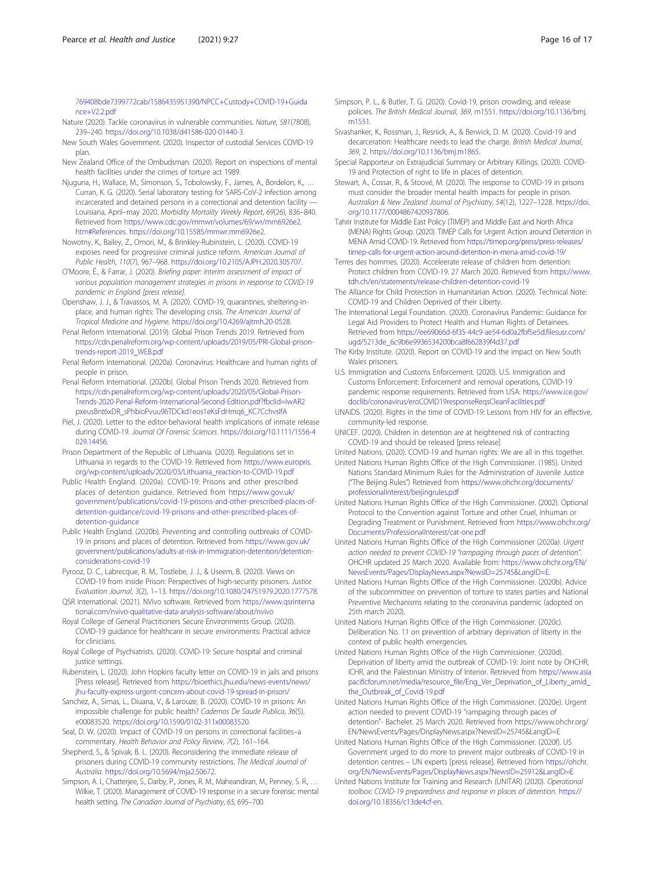<span id="page-15-0"></span>[769408bde7399772cab/1586435951390/NPCC+Custody+COVID-19+Guida](https://static1.squarespace.com/static/5c5ae65ed86cc93b6c1e19a3/t/5e8f1769408bde7399772cab/1586435951390/NPCC+Custody+COVID-19+Guidance+V2.2.pdf) [nce+V2.2.pdf](https://static1.squarespace.com/static/5c5ae65ed86cc93b6c1e19a3/t/5e8f1769408bde7399772cab/1586435951390/NPCC+Custody+COVID-19+Guidance+V2.2.pdf)

- Nature (2020). Tackle coronavirus in vulnerable communities. Nature, 581(7808), 239–240. <https://doi.org/10.1038/d41586-020-01440-3>.
- New South Wales Government. (2020). Inspector of custodial Services COVID-19 plan.
- New Zealand Office of the Ombudsman. (2020). Report on inspections of mental health facilities under the crimes of torture act 1989.
- Njuguna, H., Wallace, M., Simonson, S., Tobolowsky, F., James, A., Bordelon, K., … Curran, K. G. (2020). Serial laboratory testing for SARS-CoV-2 infection among incarcerated and detained persons in a correctional and detention facility — Louisiana, April–may 2020. Morbidity Mortality Weekly Report, 69(26), 836–840. Retrieved from [https://www.cdc.gov/mmwr/volumes/69/wr/mm6926e2.](https://www.cdc.gov/mmwr/volumes/69/wr/mm6926e2.htm#References) [htm#References](https://www.cdc.gov/mmwr/volumes/69/wr/mm6926e2.htm#References). <https://doi.org/10.15585/mmwr.mm6926e2>.
- Nowotny, K., Bailey, Z., Omori, M., & Brinkley-Rubinstein, L. (2020). COVID-19 exposes need for progressive criminal justice reform. American Journal of Public Health, 110(7), 967–968. <https://doi.org/10.2105/AJPH.2020.305707>.
- O'Moore, É., & Farrar, J. (2020). Briefing paper: Interim assessment of impact of various population management strategies in prisons in response to COVID-19 pandemic in England [press release].
- Openshaw, J. J., & Travassos, M. A. (2020). COVID-19, quarantines, sheltering-inplace, and human rights: The developing crisis. The American Journal of Tropical Medicine and Hygiene. [https://doi.org/10.4269/ajtmh.20-0528.](https://doi.org/10.4269/ajtmh.20-0528)
- Penal Reform International. (2019). Global Prison Trends 2019. Retrieved from [https://cdn.penalreform.org/wp-content/uploads/2019/05/PRI-Global-prison](https://cdn.penalreform.org/wp-content/uploads/2019/05/PRI-Global-prison-trends-report-2019_WEB.pdf)[trends-report-2019\\_WEB.pdf](https://cdn.penalreform.org/wp-content/uploads/2019/05/PRI-Global-prison-trends-report-2019_WEB.pdf)
- Penal Reform International. (2020a). Coronavirus: Healthcare and human rights of people in prison.
- Penal Reform International. (2020b). Global Prison Trends 2020. Retrieved from [https://cdn.penalreform.org/wp-content/uploads/2020/05/Global-Prison-](https://cdn.penalreform.org/wp-content/uploads/2020/05/Global-Prison-Trends-2020-Penal-Reform-International-Second-Edition.pdf?fbclid=IwAR2pxeusBnt6xDR_sPhbioPvuu96TDCkd1eos1eKsFdHmq6_KC7CchvsIfA)[Trends-2020-Penal-Reform-International-Second-Edition.pdf?fbclid=IwAR2](https://cdn.penalreform.org/wp-content/uploads/2020/05/Global-Prison-Trends-2020-Penal-Reform-International-Second-Edition.pdf?fbclid=IwAR2pxeusBnt6xDR_sPhbioPvuu96TDCkd1eos1eKsFdHmq6_KC7CchvsIfA) [pxeusBnt6xDR\\_sPhbioPvuu96TDCkd1eos1eKsFdHmq6\\_KC7CchvsIfA](https://cdn.penalreform.org/wp-content/uploads/2020/05/Global-Prison-Trends-2020-Penal-Reform-International-Second-Edition.pdf?fbclid=IwAR2pxeusBnt6xDR_sPhbioPvuu96TDCkd1eos1eKsFdHmq6_KC7CchvsIfA)
- Piel, J. (2020). Letter to the editor-behavioral health implications of inmate release during COVID-19. Journal Of Forensic Sciences. [https://doi.org/10.1111/1556-4](https://doi.org/10.1111/1556-4029.14456) [029.14456](https://doi.org/10.1111/1556-4029.14456).
- Prison Department of the Republic of Lithuania. (2020). Regulations set in Lithuania in regards to the COVID-19. Retrieved from [https://www.europris.](https://www.europris.org/wp-content/uploads/2020/03/Lithuania_reaction-to-COVID-19.pdf) [org/wp-content/uploads/2020/03/Lithuania\\_reaction-to-COVID-19.pdf](https://www.europris.org/wp-content/uploads/2020/03/Lithuania_reaction-to-COVID-19.pdf)
- Public Health England. (2020a). COVID-19: Prisons and other prescribed places of detention guidance. Retrieved from [https://www.gov.uk/](https://www.gov.uk/government/publications/covid-19-prisons-and-other-prescribed-places-of-detention-guidance/covid-19-prisons-and-other-prescribed-places-of-detention-guidance) [government/publications/covid-19-prisons-and-other-prescribed-places-of](https://www.gov.uk/government/publications/covid-19-prisons-and-other-prescribed-places-of-detention-guidance/covid-19-prisons-and-other-prescribed-places-of-detention-guidance)[detention-guidance/covid-19-prisons-and-other-prescribed-places-of](https://www.gov.uk/government/publications/covid-19-prisons-and-other-prescribed-places-of-detention-guidance/covid-19-prisons-and-other-prescribed-places-of-detention-guidance)[detention-guidance](https://www.gov.uk/government/publications/covid-19-prisons-and-other-prescribed-places-of-detention-guidance/covid-19-prisons-and-other-prescribed-places-of-detention-guidance)
- Public Health England. (2020b). Preventing and controlling outbreaks of COVID-19 in prisons and places of detention. Retrieved from [https://www.gov.uk/](https://www.gov.uk/government/publications/adults-at-risk-in-immigration-detention/detention-considerations-covid-19) [government/publications/adults-at-risk-in-immigration-detention/detention](https://www.gov.uk/government/publications/adults-at-risk-in-immigration-detention/detention-considerations-covid-19)[considerations-covid-19](https://www.gov.uk/government/publications/adults-at-risk-in-immigration-detention/detention-considerations-covid-19)
- Pyrooz, D. C., Labrecque, R. M., Tostlebe, J. J., & Useem, B. (2020). Views on COVID-19 from inside Prison: Perspectives of high-security prisoners. Justice Evaluation Journal, 3(2), 1–13. <https://doi.org/10.1080/24751979.2020.1777578>.
- QSR International. (2021). NVivo software. Retrieved from [https://www.qsrinterna](https://www.qsrinternational.com/nvivo-qualitative-data-analysis-software/about/nvivo) [tional.com/nvivo-qualitative-data-analysis-software/about/nvivo](https://www.qsrinternational.com/nvivo-qualitative-data-analysis-software/about/nvivo)
- Royal College of General Practitioners Secure Environments Group. (2020). COVID-19 guidance for healthcare in secure environments: Practical advice for clinicians.
- Royal College of Psychiatrists. (2020). COVID-19: Secure hospital and criminal justice settings.
- Rubenstein, L. (2020). John Hopkins faculty letter on COVID-19 in jails and prisons [Press release]. Retrieved from [https://bioethics.jhu.edu/news-events/news/](https://bioethics.jhu.edu/news-events/news/jhu-faculty-express-urgent-concern-about-covid-19-spread-in-prison/) [jhu-faculty-express-urgent-concern-about-covid-19-spread-in-prison/](https://bioethics.jhu.edu/news-events/news/jhu-faculty-express-urgent-concern-about-covid-19-spread-in-prison/)
- Sanchez, A., Simas, L., Diuana, V., & Larouze, B. (2020). COVID-19 in prisons: An impossible challenge for public health? Cadernos De Saude Publica, 36(5), e00083520. <https://doi.org/10.1590/0102-311x00083520>.
- Seal, D. W. (2020). Impact of COVID-19 on persons in correctional facilities–a commentary. Health Behavior and Policy Review, 7(2), 161–164.
- Shepherd, S., & Spivak, B. L. (2020). Reconsidering the immediate release of prisoners during COVID-19 community restrictions. The Medical Journal of Australia. <https://doi.org/10.5694/mja2.50672>.
- Simpson, A. I., Chatterjee, S., Darby, P., Jones, R. M., Maheandiran, M., Penney, S. R., ... Wilkie, T. (2020). Management of COVID-19 response in a secure forensic mental health setting. The Canadian Journal of Psychiatry, 65, 695–700.
- Simpson, P. L., & Butler, T. G. (2020). Covid-19, prison crowding, and release policies. The British Medical Journal, 369, m1551. [https://doi.org/10.1136/bmj.](https://doi.org/10.1136/bmj.m1551) [m1551](https://doi.org/10.1136/bmj.m1551).
- Sivashanker, K., Rossman, J., Resnick, A., & Berwick, D. M. (2020). Covid-19 and decarceration: Healthcare needs to lead the charge. British Medical Journal, 369, 2. [https://doi.org/10.1136/bmj.m1865.](https://doi.org/10.1136/bmj.m1865)
- Special Rapporteur on Extrajudicial Summary or Arbitrary Killings. (2020). COVID-19 and Protection of right to life in places of detention.
- Stewart, A., Cossar, R., & Stoové, M. (2020). The response to COVID-19 in prisons must consider the broader mental health impacts for people in prison. Australian & New Zealand Journal of Psychiatry, 54(12), 1227–1228. [https://doi.](https://doi.org/10.1177/0004867420937806) [org/10.1177/0004867420937806.](https://doi.org/10.1177/0004867420937806)
- Tahrir Institute for Middle East Policy (TIMEP) and Middle East and North Africa (MENA) Rights Group. (2020). TIMEP Calls for Urgent Action around Detention in MENA Amid COVID-19. Retrieved from [https://timep.org/press/press-releases/](https://timep.org/press/press-releases/timep-calls-for-urgent-action-around-detention-in-mena-amid-covid-19/) [timep-calls-for-urgent-action-around-detention-in-mena-amid-covid-19/](https://timep.org/press/press-releases/timep-calls-for-urgent-action-around-detention-in-mena-amid-covid-19/)
- Terres des hommes. (2020). Acceleerate release of children from detention: Protect children from COVID-19. 27 March 2020. Retrieved from [https://www.](https://www.tdh.ch/en/statements/release-children-detention-covid-19) [tdh.ch/en/statements/release-children-detention-covid-19](https://www.tdh.ch/en/statements/release-children-detention-covid-19)
- The Alliance for Child Protection in Humanitarian Action. (2020). Technical Note: COVID-19 and Children Deprived of their Liberty.
- The International Legal Foundation. (2020). Coronavirus Pandemic: Guidance for Legal Aid Providers to Protect Health and Human Rights of Detainees. Retrieved from [https://ee69066d-6f35-44c9-ae54-6d0a2fbf5e5d.filesusr.com/](https://ee69066d-6f35-44c9-ae54-6d0a2fbf5e5d.filesusr.com/ugd/5213de_6c9b6e9936534200bca8f662839f4d37.pdf) [ugd/5213de\\_6c9b6e9936534200bca8f662839f4d37.pdf](https://ee69066d-6f35-44c9-ae54-6d0a2fbf5e5d.filesusr.com/ugd/5213de_6c9b6e9936534200bca8f662839f4d37.pdf)
- The Kirby Institute. (2020). Report on COVID-19 and the impact on New South Wales prisoners.
- U.S. Immigration and Customs Enforcement. (2020). U.S. Immigration and Customs Enforcement: Enforcement and removal operations, COVID-19 pandemic response requirements. Retrieved from USA: [https://www.ice.gov/](https://www.ice.gov/doclib/coronavirus/eroCOVID19responseReqsCleanFacilities.pdf) [doclib/coronavirus/eroCOVID19responseReqsCleanFacilities.pdf](https://www.ice.gov/doclib/coronavirus/eroCOVID19responseReqsCleanFacilities.pdf)
- UNAIDS. (2020). Rights in the time of COVID-19: Lessons from HIV for an effective, community-led response.
- UNICEF. (2020). Children in detention are at heightened risk of contracting COVID-19 and should be released [press release]
- United Nations. (2020). COVID-19 and human rights: We are all in this together.
- United Nations Human Rights Office of the High Commissioner. (1985). United Nations Standard Minimum Rules for the Administration of Juvenile Justice ("The Beijing Rules") Retrieved from [https://www.ohchr.org/documents/](https://www.ohchr.org/documents/professionalinterest/beijingrules.pdf) [professionalinterest/beijingrules.pdf](https://www.ohchr.org/documents/professionalinterest/beijingrules.pdf)
- United Nations Human Rights Office of the High Commissioner. (2002). Optional Protocol to the Convention against Torture and other Cruel, Inhuman or Degrading Treatment or Punishment. Retrieved from [https://www.ohchr.org/](https://www.ohchr.org/Documents/ProfessionalInterest/cat-one.pdf) [Documents/ProfessionalInterest/cat-one.pdf](https://www.ohchr.org/Documents/ProfessionalInterest/cat-one.pdf)
- United Nations Human Rights Office of the High Commissioner (2020a). Urgent action needed to prevent COVID-19 "rampaging through paces of detention". OHCHR updated 25 March 2020. Available from: [https://www.ohchr.org/EN/](https://www.ohchr.org/EN/NewsEvents/Pages/DisplayNews.aspx?NewsID=25745&LangID=E) [NewsEvents/Pages/DisplayNews.aspx?NewsID=25745&LangID=E](https://www.ohchr.org/EN/NewsEvents/Pages/DisplayNews.aspx?NewsID=25745&LangID=E).
- United Nations Human Rights Office of the High Commissioner. (2020b). Advice of the subcommittee on prevention of torture to states parties and National Preventive Mechanisms relating to the coronavirus pandemic (adopted on 25th march 2020).
- United Nations Human Rights Office of the High Commissioner. (2020c). Deliberation No. 11 on prevention of arbitrary deprivation of liberty in the context of public health emergencies.
- United Nations Human Rights Office of the High Commissioner. (2020d). Deprivation of liberty amid the outbreak of COVID-19: Joint note by OHCHR, ICHR, and the Palestinian Ministry of Interior. Retrieved from [https://www.asia](https://www.asiapacificforum.net/media/resource_file/Eng_Ver_Deprivation_of_Liberty_amid_the_Outbreak_of_Covid-19.pdf) [pacificforum.net/media/resource\\_file/Eng\\_Ver\\_Deprivation\\_of\\_Liberty\\_amid\\_](https://www.asiapacificforum.net/media/resource_file/Eng_Ver_Deprivation_of_Liberty_amid_the_Outbreak_of_Covid-19.pdf) [the\\_Outbreak\\_of\\_Covid-19.pdf](https://www.asiapacificforum.net/media/resource_file/Eng_Ver_Deprivation_of_Liberty_amid_the_Outbreak_of_Covid-19.pdf)
- United Nations Human Rights Office of the High Commissioner. (2020e). Urgent action needed to prevent COVID-19 "rampaging through paces of detention"- Bachelet. 25 March 2020. Retrieved from https://www.ohchr.org/ EN/NewsEvents/Pages/DisplayNews.aspx?NewsID=25745&LangID=E
- United Nations Human Rights Office of the High Commissioner. (2020f). US Government urged to do more to prevent major outbreaks of COVID-19 in detention centres – UN experts [press release]. Retrieved from [https://ohchr.](https://ohchr.org/EN/NewsEvents/Pages/DisplayNews.aspx?NewsID=25912&LangID=E) [org/EN/NewsEvents/Pages/DisplayNews.aspx?NewsID=25912&LangID=E](https://ohchr.org/EN/NewsEvents/Pages/DisplayNews.aspx?NewsID=25912&LangID=E)
- United Nations Institute for Training and Research (UNITAR) (2020). Operational toolbox: COVID-19 preparedness and response in places of detention. [https://](https://doi.org/10.18356/c13de4cf-en) [doi.org/10.18356/c13de4cf-en.](https://doi.org/10.18356/c13de4cf-en)